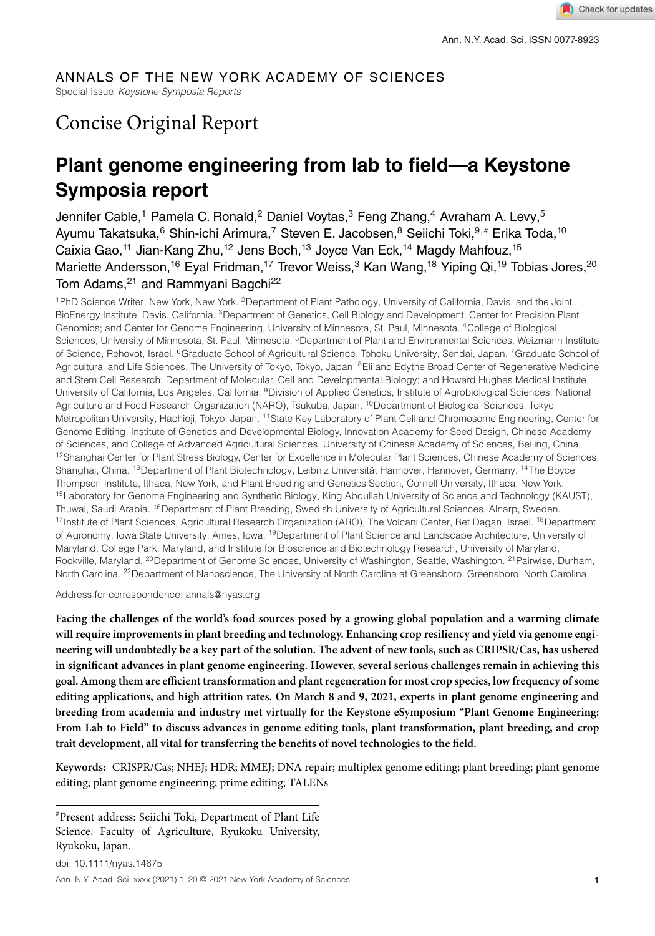# ANNALS OF THE NEW YORK ACADEMY OF SCIENCES

Special Issue:*Keystone Symposia Reports*

# Concise Original Report

# **Plant genome engineering from lab to field—a Keystone Symposia report**

Jennifer Cable,<sup>1</sup> Pamela C. Ronald,<sup>2</sup> Daniel Voytas,<sup>3</sup> Feng Zhang,<sup>4</sup> Avraham A. Levy,<sup>5</sup> Ayumu Takatsuka, <sup>6</sup> Shin-ichi Arimura, <sup>7</sup> Steven E. Jacobsen, <sup>8</sup> Seiichi Toki, <sup>9, #</sup> Erika Toda, <sup>10</sup> Caixia Gao,<sup>11</sup> Jian-Kang Zhu,<sup>12</sup> Jens Boch,<sup>13</sup> Joyce Van Eck,<sup>14</sup> Magdy Mahfouz,<sup>15</sup> Mariette Andersson,<sup>16</sup> Eyal Fridman,<sup>17</sup> Trevor Weiss,<sup>3</sup> Kan Wang,<sup>18</sup> Yiping Qi,<sup>19</sup> Tobias Jores,<sup>20</sup> Tom Adams,<sup>21</sup> and Rammyani Bagchi<sup>22</sup>

1PhD Science Writer, New York, New York. 2Department of Plant Pathology, University of California, Davis, and the Joint BioEnergy Institute, Davis, California. 3Department of Genetics, Cell Biology and Development; Center for Precision Plant Genomics; and Center for Genome Engineering, University of Minnesota, St. Paul, Minnesota. 4College of Biological Sciences, University of Minnesota, St. Paul, Minnesota. <sup>5</sup>Department of Plant and Environmental Sciences, Weizmann Institute of Science, Rehovot, Israel. <sup>6</sup>Graduate School of Agricultural Science, Tohoku University, Sendai, Japan. <sup>7</sup>Graduate School of Agricultural and Life Sciences, The University of Tokyo, Tokyo, Japan. <sup>8</sup>Eli and Edythe Broad Center of Regenerative Medicine and Stem Cell Research; Department of Molecular, Cell and Developmental Biology; and Howard Hughes Medical Institute, University of California, Los Angeles, California. 9Division of Applied Genetics, Institute of Agrobiological Sciences, National Agriculture and Food Research Organization (NARO), Tsukuba, Japan. <sup>10</sup>Department of Biological Sciences, Tokyo Metropolitan University, Hachioji, Tokyo, Japan. 11State Key Laboratory of Plant Cell and Chromosome Engineering, Center for Genome Editing, Institute of Genetics and Developmental Biology, Innovation Academy for Seed Design, Chinese Academy of Sciences, and College of Advanced Agricultural Sciences, University of Chinese Academy of Sciences, Beijing, China. <sup>12</sup>Shanghai Center for Plant Stress Biology, Center for Excellence in Molecular Plant Sciences, Chinese Academy of Sciences, Shanghai, China. 13Department of Plant Biotechnology, Leibniz Universität Hannover, Hannover, Germany. 14The Boyce Thompson Institute, Ithaca, New York, and Plant Breeding and Genetics Section, Cornell University, Ithaca, New York. 15Laboratory for Genome Engineering and Synthetic Biology, King Abdullah University of Science and Technology (KAUST), Thuwal, Saudi Arabia. <sup>16</sup>Department of Plant Breeding, Swedish University of Agricultural Sciences, Alnarp, Sweden. 17Institute of Plant Sciences, Agricultural Research Organization (ARO), The Volcani Center, Bet Dagan, Israel. <sup>18</sup>Department of Agronomy, Iowa State University, Ames, Iowa. <sup>19</sup>Department of Plant Science and Landscape Architecture, University of Maryland, College Park, Maryland, and Institute for Bioscience and Biotechnology Research, University of Maryland, Rockville, Maryland. <sup>20</sup>Department of Genome Sciences, University of Washington, Seattle, Washington. <sup>21</sup> Pairwise, Durham, North Carolina. <sup>22</sup> Department of Nanoscience, The University of North Carolina at Greensboro, Greensboro, North Carolina

Address for correspondence: annals@nyas.org

**Facing the challenges of the world's food sources posed by a growing global population and a warming climate will require improvements in plant breeding and technology. Enhancing crop resiliency and yield via genome engineering will undoubtedly be a key part of the solution. The advent of new tools, such as CRIPSR/Cas, has ushered in significant advances in plant genome engineering. However, several serious challenges remain in achieving this goal. Among them are efficient transformation and plant regeneration for most crop species, low frequency of some editing applications, and high attrition rates. On March 8 and 9, 2021, experts in plant genome engineering and breeding from academia and industry met virtually for the Keystone eSymposium "Plant Genome Engineering: From Lab to Field" to discuss advances in genome editing tools, plant transformation, plant breeding, and crop trait development, all vital for transferring the benefits of novel technologies to the field.**

**Keywords:** CRISPR/Cas; NHEJ; HDR; MMEJ; DNA repair; multiplex genome editing; plant breeding; plant genome editing; plant genome engineering; prime editing; TALENs

*#*Present address: Seiichi Toki, Department of Plant Life Science, Faculty of Agriculture, Ryukoku University, Ryukoku, Japan.

doi: 10.1111/nyas.14675 Ann. N.Y. Acad. Sci. xxxx (2021) 1–20 © 2021 New York Academy of Sciences. **1**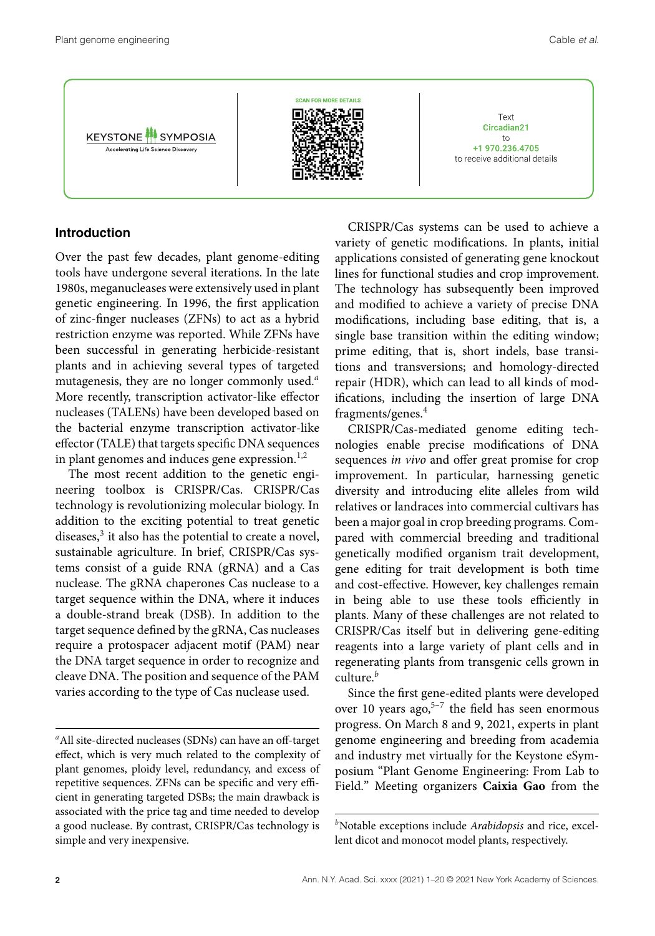**2** Ann. N.Y. Acad. Sci. xxxx (2021) 1–20 © 2021 New York Academy of Sciences.

Accelerating Life Science Discovery

#### **Introduction**

Over the past few decades, plant genome-editing tools have undergone several iterations. In the late 1980s, meganucleases were extensively used in plant genetic engineering. In 1996, the first application of zinc-finger nucleases (ZFNs) to act as a hybrid restriction enzyme was reported. While ZFNs have been successful in generating herbicide-resistant plants and in achieving several types of targeted mutagenesis, they are no longer commonly used.*<sup>a</sup>* More recently, transcription activator-like effector nucleases (TALENs) have been developed based on the bacterial enzyme transcription activator-like effector (TALE) that targets specific DNA sequences in plant genomes and induces gene expression. $1,2$ 

The most recent addition to the genetic engineering toolbox is CRISPR/Cas. CRISPR/Cas technology is revolutionizing molecular biology. In addition to the exciting potential to treat genetic diseases,<sup>3</sup> it also has the potential to create a novel, sustainable agriculture. In brief, CRISPR/Cas systems consist of a guide RNA (gRNA) and a Cas nuclease. The gRNA chaperones Cas nuclease to a target sequence within the DNA, where it induces a double-strand break (DSB). In addition to the target sequence defined by the gRNA, Cas nucleases require a protospacer adjacent motif (PAM) near the DNA target sequence in order to recognize and cleave DNA. The position and sequence of the PAM varies according to the type of Cas nuclease used.

CRISPR/Cas systems can be used to achieve a variety of genetic modifications. In plants, initial applications consisted of generating gene knockout lines for functional studies and crop improvement. The technology has subsequently been improved and modified to achieve a variety of precise DNA modifications, including base editing, that is, a single base transition within the editing window; prime editing, that is, short indels, base transitions and transversions; and homology-directed repair (HDR), which can lead to all kinds of modifications, including the insertion of large DNA fragments/genes.<sup>4</sup>

Text Circadian21

 $to$ +1 970.236.4705

to receive additional details

CRISPR/Cas-mediated genome editing technologies enable precise modifications of DNA sequences *in vivo* and offer great promise for crop improvement. In particular, harnessing genetic diversity and introducing elite alleles from wild relatives or landraces into commercial cultivars has been a major goal in crop breeding programs. Compared with commercial breeding and traditional genetically modified organism trait development, gene editing for trait development is both time and cost-effective. However, key challenges remain in being able to use these tools efficiently in plants. Many of these challenges are not related to CRISPR/Cas itself but in delivering gene-editing reagents into a large variety of plant cells and in regenerating plants from transgenic cells grown in culture.*<sup>b</sup>*

Since the first gene-edited plants were developed over 10 years ago, $5-7$  the field has seen enormous progress. On March 8 and 9, 2021, experts in plant genome engineering and breeding from academia and industry met virtually for the Keystone eSymposium "Plant Genome Engineering: From Lab to Field." Meeting organizers **Caixia Gao** from the



*<sup>a</sup>*All site-directed nucleases (SDNs) can have an off-target effect, which is very much related to the complexity of plant genomes, ploidy level, redundancy, and excess of repetitive sequences. ZFNs can be specific and very efficient in generating targeted DSBs; the main drawback is associated with the price tag and time needed to develop a good nuclease. By contrast, CRISPR/Cas technology is simple and very inexpensive.

*<sup>b</sup>*Notable exceptions include *Arabidopsis* and rice, excellent dicot and monocot model plants, respectively.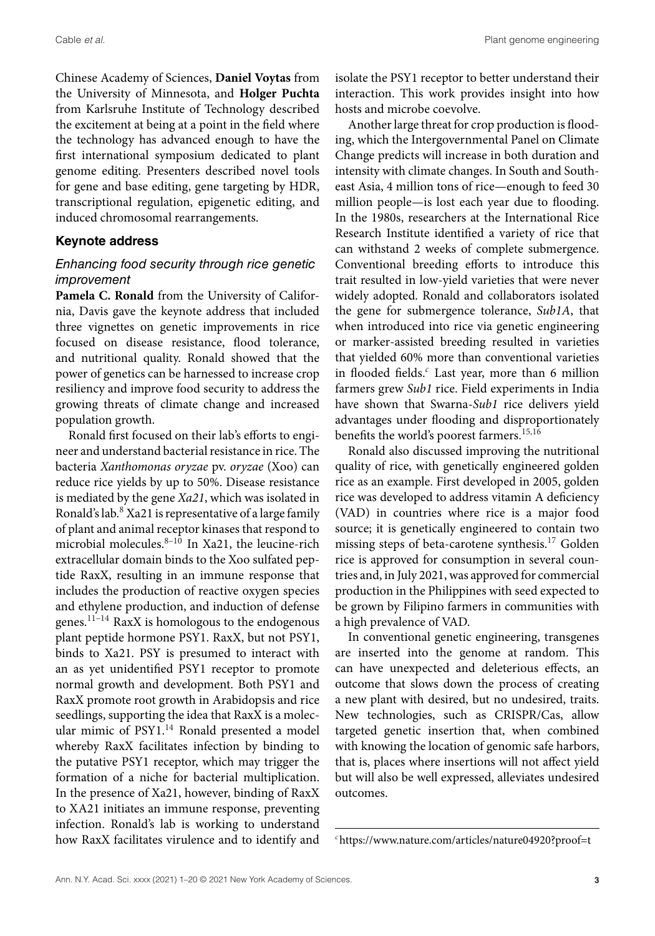Chinese Academy of Sciences, **Daniel Voytas** from the University of Minnesota, and **Holger Puchta** from Karlsruhe Institute of Technology described the excitement at being at a point in the field where the technology has advanced enough to have the first international symposium dedicated to plant genome editing. Presenters described novel tools for gene and base editing, gene targeting by HDR, transcriptional regulation, epigenetic editing, and induced chromosomal rearrangements.

#### **Keynote address**

## *Enhancing food security through rice genetic improvement*

**Pamela C. Ronald** from the University of California, Davis gave the keynote address that included three vignettes on genetic improvements in rice focused on disease resistance, flood tolerance, and nutritional quality. Ronald showed that the power of genetics can be harnessed to increase crop resiliency and improve food security to address the growing threats of climate change and increased population growth.

Ronald first focused on their lab's efforts to engineer and understand bacterial resistance in rice. The bacteria *Xanthomonas oryzae* pv. *oryzae* (Xoo) can reduce rice yields by up to 50%. Disease resistance is mediated by the gene *Xa21*, which was isolated in Ronald's lab.8 Xa21 is representative of a large family of plant and animal receptor kinases that respond to microbial molecules. $8-10$  In Xa21, the leucine-rich extracellular domain binds to the Xoo sulfated peptide RaxX, resulting in an immune response that includes the production of reactive oxygen species and ethylene production, and induction of defense genes.11–14 RaxX is homologous to the endogenous plant peptide hormone PSY1. RaxX, but not PSY1, binds to Xa21. PSY is presumed to interact with an as yet unidentified PSY1 receptor to promote normal growth and development. Both PSY1 and RaxX promote root growth in Arabidopsis and rice seedlings, supporting the idea that RaxX is a molecular mimic of PSY1.<sup>14</sup> Ronald presented a model whereby RaxX facilitates infection by binding to the putative PSY1 receptor, which may trigger the formation of a niche for bacterial multiplication. In the presence of Xa21, however, binding of RaxX to XA21 initiates an immune response, preventing infection. Ronald's lab is working to understand how RaxX facilitates virulence and to identify and

isolate the PSY1 receptor to better understand their interaction. This work provides insight into how hosts and microbe coevolve.

Another large threat for crop production is flooding, which the Intergovernmental Panel on Climate Change predicts will increase in both duration and intensity with climate changes. In South and Southeast Asia, 4 million tons of rice—enough to feed 30 million people—is lost each year due to flooding. In the 1980s, researchers at the International Rice Research Institute identified a variety of rice that can withstand 2 weeks of complete submergence. Conventional breeding efforts to introduce this trait resulted in low-yield varieties that were never widely adopted. Ronald and collaborators isolated the gene for submergence tolerance, *Sub1A*, that when introduced into rice via genetic engineering or marker-assisted breeding resulted in varieties that yielded 60% more than conventional varieties in flooded fields.*<sup>c</sup>* Last year, more than 6 million farmers grew *Sub1* rice. Field experiments in India have shown that Swarna-*Sub1* rice delivers yield advantages under flooding and disproportionately benefits the world's poorest farmers.15,16

Ronald also discussed improving the nutritional quality of rice, with genetically engineered golden rice as an example. First developed in 2005, golden rice was developed to address vitamin A deficiency (VAD) in countries where rice is a major food source; it is genetically engineered to contain two missing steps of beta-carotene synthesis.17 Golden rice is approved for consumption in several countries and, in July 2021, was approved for commercial production in the Philippines with seed expected to be grown by Filipino farmers in communities with a high prevalence of VAD.

In conventional genetic engineering, transgenes are inserted into the genome at random. This can have unexpected and deleterious effects, an outcome that slows down the process of creating a new plant with desired, but no undesired, traits. New technologies, such as CRISPR/Cas, allow targeted genetic insertion that, when combined with knowing the location of genomic safe harbors, that is, places where insertions will not affect yield but will also be well expressed, alleviates undesired outcomes.

*<sup>c</sup>*<https://www.nature.com/articles/nature04920?proof=t>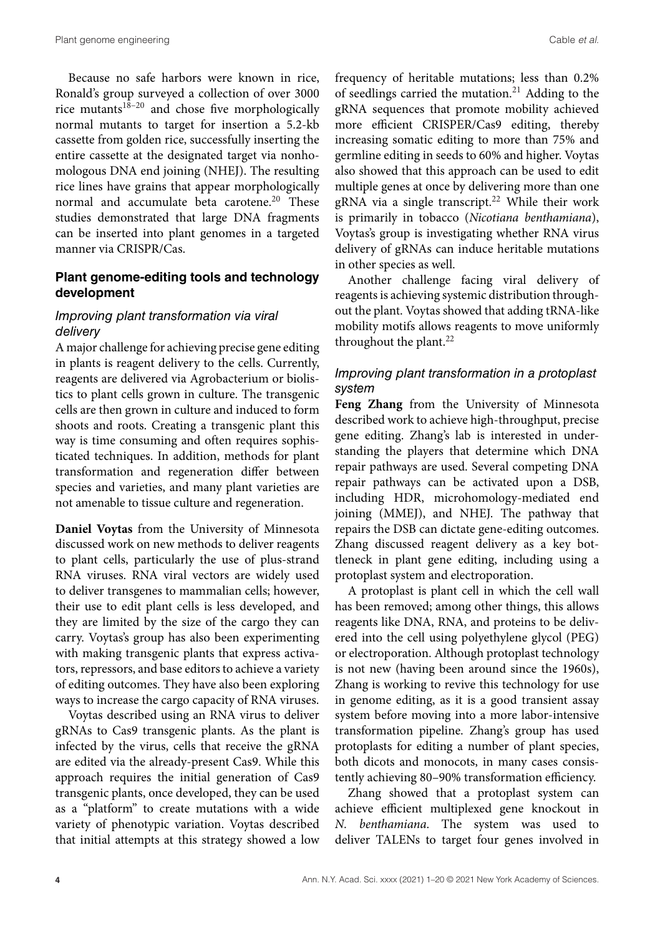Because no safe harbors were known in rice, Ronald's group surveyed a collection of over 3000 rice mutants<sup>18-20</sup> and chose five morphologically normal mutants to target for insertion a 5.2-kb cassette from golden rice, successfully inserting the entire cassette at the designated target via nonhomologous DNA end joining (NHEJ). The resulting rice lines have grains that appear morphologically normal and accumulate beta carotene.<sup>20</sup> These studies demonstrated that large DNA fragments can be inserted into plant genomes in a targeted manner via CRISPR/Cas.

## **Plant genome-editing tools and technology development**

#### *Improving plant transformation via viral delivery*

A major challenge for achieving precise gene editing in plants is reagent delivery to the cells. Currently, reagents are delivered via Agrobacterium or biolistics to plant cells grown in culture. The transgenic cells are then grown in culture and induced to form shoots and roots. Creating a transgenic plant this way is time consuming and often requires sophisticated techniques. In addition, methods for plant transformation and regeneration differ between species and varieties, and many plant varieties are not amenable to tissue culture and regeneration.

**Daniel Voytas** from the University of Minnesota discussed work on new methods to deliver reagents to plant cells, particularly the use of plus-strand RNA viruses. RNA viral vectors are widely used to deliver transgenes to mammalian cells; however, their use to edit plant cells is less developed, and they are limited by the size of the cargo they can carry. Voytas's group has also been experimenting with making transgenic plants that express activators, repressors, and base editors to achieve a variety of editing outcomes. They have also been exploring ways to increase the cargo capacity of RNA viruses.

Voytas described using an RNA virus to deliver gRNAs to Cas9 transgenic plants. As the plant is infected by the virus, cells that receive the gRNA are edited via the already-present Cas9. While this approach requires the initial generation of Cas9 transgenic plants, once developed, they can be used as a "platform" to create mutations with a wide variety of phenotypic variation. Voytas described that initial attempts at this strategy showed a low frequency of heritable mutations; less than 0.2% of seedlings carried the mutation.<sup>21</sup> Adding to the gRNA sequences that promote mobility achieved more efficient CRISPER/Cas9 editing, thereby increasing somatic editing to more than 75% and germline editing in seeds to 60% and higher. Voytas also showed that this approach can be used to edit multiple genes at once by delivering more than one gRNA via a single transcript.<sup>22</sup> While their work is primarily in tobacco (*Nicotiana benthamiana*), Voytas's group is investigating whether RNA virus delivery of gRNAs can induce heritable mutations in other species as well.

Another challenge facing viral delivery of reagents is achieving systemic distribution throughout the plant. Voytas showed that adding tRNA-like mobility motifs allows reagents to move uniformly throughout the plant.<sup>22</sup>

### *Improving plant transformation in a protoplast system*

**Feng Zhang** from the University of Minnesota described work to achieve high-throughput, precise gene editing. Zhang's lab is interested in understanding the players that determine which DNA repair pathways are used. Several competing DNA repair pathways can be activated upon a DSB, including HDR, microhomology-mediated end joining (MMEJ), and NHEJ. The pathway that repairs the DSB can dictate gene-editing outcomes. Zhang discussed reagent delivery as a key bottleneck in plant gene editing, including using a protoplast system and electroporation.

A protoplast is plant cell in which the cell wall has been removed; among other things, this allows reagents like DNA, RNA, and proteins to be delivered into the cell using polyethylene glycol (PEG) or electroporation. Although protoplast technology is not new (having been around since the 1960s), Zhang is working to revive this technology for use in genome editing, as it is a good transient assay system before moving into a more labor-intensive transformation pipeline. Zhang's group has used protoplasts for editing a number of plant species, both dicots and monocots, in many cases consistently achieving 80–90% transformation efficiency.

Zhang showed that a protoplast system can achieve efficient multiplexed gene knockout in *N. benthamiana*. The system was used to deliver TALENs to target four genes involved in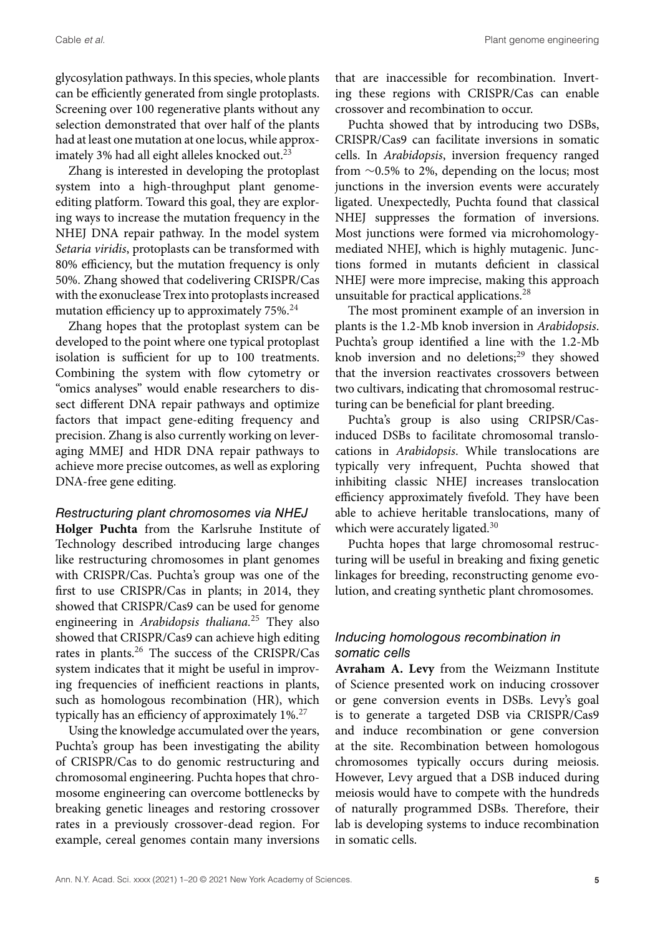glycosylation pathways. In this species, whole plants can be efficiently generated from single protoplasts. Screening over 100 regenerative plants without any selection demonstrated that over half of the plants had at least one mutation at one locus, while approximately 3% had all eight alleles knocked out.<sup>23</sup>

Zhang is interested in developing the protoplast system into a high-throughput plant genomeediting platform. Toward this goal, they are exploring ways to increase the mutation frequency in the NHEJ DNA repair pathway. In the model system *Setaria viridis*, protoplasts can be transformed with 80% efficiency, but the mutation frequency is only 50%. Zhang showed that codelivering CRISPR/Cas with the exonuclease Trex into protoplasts increased mutation efficiency up to approximately 75%.<sup>24</sup>

Zhang hopes that the protoplast system can be developed to the point where one typical protoplast isolation is sufficient for up to 100 treatments. Combining the system with flow cytometry or "omics analyses" would enable researchers to dissect different DNA repair pathways and optimize factors that impact gene-editing frequency and precision. Zhang is also currently working on leveraging MMEJ and HDR DNA repair pathways to achieve more precise outcomes, as well as exploring DNA-free gene editing.

#### *Restructuring plant chromosomes via NHEJ*

**Holger Puchta** from the Karlsruhe Institute of Technology described introducing large changes like restructuring chromosomes in plant genomes with CRISPR/Cas. Puchta's group was one of the first to use CRISPR/Cas in plants; in 2014, they showed that CRISPR/Cas9 can be used for genome engineering in *Arabidopsis thaliana.*<sup>25</sup> They also showed that CRISPR/Cas9 can achieve high editing rates in plants.26 The success of the CRISPR/Cas system indicates that it might be useful in improving frequencies of inefficient reactions in plants, such as homologous recombination (HR), which typically has an efficiency of approximately  $1\%$ <sup>27</sup>

Using the knowledge accumulated over the years, Puchta's group has been investigating the ability of CRISPR/Cas to do genomic restructuring and chromosomal engineering. Puchta hopes that chromosome engineering can overcome bottlenecks by breaking genetic lineages and restoring crossover rates in a previously crossover-dead region. For example, cereal genomes contain many inversions that are inaccessible for recombination. Inverting these regions with CRISPR/Cas can enable crossover and recombination to occur.

Puchta showed that by introducing two DSBs, CRISPR/Cas9 can facilitate inversions in somatic cells. In *Arabidopsis*, inversion frequency ranged from ∼0.5% to 2%, depending on the locus; most junctions in the inversion events were accurately ligated. Unexpectedly, Puchta found that classical NHEJ suppresses the formation of inversions. Most junctions were formed via microhomologymediated NHEJ, which is highly mutagenic. Junctions formed in mutants deficient in classical NHEJ were more imprecise, making this approach unsuitable for practical applications.<sup>28</sup>

The most prominent example of an inversion in plants is the 1.2-Mb knob inversion in *Arabidopsis*. Puchta's group identified a line with the 1.2-Mb knob inversion and no deletions; $^{29}$  they showed that the inversion reactivates crossovers between two cultivars, indicating that chromosomal restructuring can be beneficial for plant breeding.

Puchta's group is also using CRIPSR/Casinduced DSBs to facilitate chromosomal translocations in *Arabidopsis*. While translocations are typically very infrequent, Puchta showed that inhibiting classic NHEJ increases translocation efficiency approximately fivefold. They have been able to achieve heritable translocations, many of which were accurately ligated.<sup>30</sup>

Puchta hopes that large chromosomal restructuring will be useful in breaking and fixing genetic linkages for breeding, reconstructing genome evolution, and creating synthetic plant chromosomes.

## *Inducing homologous recombination in somatic cells*

**Avraham A. Levy** from the Weizmann Institute of Science presented work on inducing crossover or gene conversion events in DSBs. Levy's goal is to generate a targeted DSB via CRISPR/Cas9 and induce recombination or gene conversion at the site. Recombination between homologous chromosomes typically occurs during meiosis. However, Levy argued that a DSB induced during meiosis would have to compete with the hundreds of naturally programmed DSBs. Therefore, their lab is developing systems to induce recombination in somatic cells.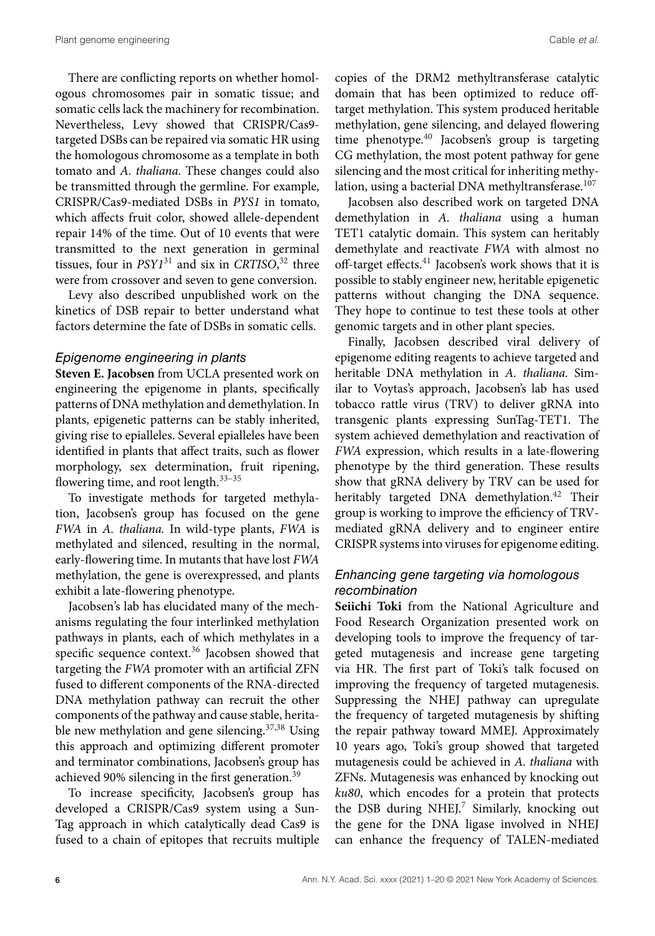There are conflicting reports on whether homologous chromosomes pair in somatic tissue; and somatic cells lack the machinery for recombination. Nevertheless, Levy showed that CRISPR/Cas9 targeted DSBs can be repaired via somatic HR using the homologous chromosome as a template in both tomato and *A. thaliana.* These changes could also be transmitted through the germline. For example, CRISPR/Cas9-mediated DSBs in *PYS1* in tomato, which affects fruit color, showed allele-dependent repair 14% of the time. Out of 10 events that were transmitted to the next generation in germinal tissues, four in *PSY1*<sup>31</sup> and six in *CRTISO*, <sup>32</sup> three were from crossover and seven to gene conversion.

Levy also described unpublished work on the kinetics of DSB repair to better understand what factors determine the fate of DSBs in somatic cells.

#### *Epigenome engineering in plants*

**Steven E. Jacobsen** from UCLA presented work on engineering the epigenome in plants, specifically patterns of DNA methylation and demethylation. In plants, epigenetic patterns can be stably inherited, giving rise to epialleles. Several epialleles have been identified in plants that affect traits, such as flower morphology, sex determination, fruit ripening, flowering time, and root length.<sup>33-35</sup>

To investigate methods for targeted methylation, Jacobsen's group has focused on the gene *FWA* in *A. thaliana.* In wild-type plants, *FWA* is methylated and silenced, resulting in the normal, early-flowering time. In mutants that have lost *FWA* methylation, the gene is overexpressed, and plants exhibit a late-flowering phenotype.

Jacobsen's lab has elucidated many of the mechanisms regulating the four interlinked methylation pathways in plants, each of which methylates in a specific sequence context.<sup>36</sup> Jacobsen showed that targeting the *FWA* promoter with an artificial ZFN fused to different components of the RNA-directed DNA methylation pathway can recruit the other components of the pathway and cause stable, heritable new methylation and gene silencing. $37,38$  Using this approach and optimizing different promoter and terminator combinations, Jacobsen's group has achieved 90% silencing in the first generation.39

To increase specificity, Jacobsen's group has developed a CRISPR/Cas9 system using a Sun-Tag approach in which catalytically dead Cas9 is fused to a chain of epitopes that recruits multiple copies of the DRM2 methyltransferase catalytic domain that has been optimized to reduce offtarget methylation. This system produced heritable methylation, gene silencing, and delayed flowering time phenotype.<sup>40</sup> Jacobsen's group is targeting CG methylation, the most potent pathway for gene silencing and the most critical for inheriting methylation, using a bacterial DNA methyltransferase.<sup>107</sup>

Jacobsen also described work on targeted DNA demethylation in *A. thaliana* using a human TET1 catalytic domain. This system can heritably demethylate and reactivate *FWA* with almost no off-target effects. $41$  Jacobsen's work shows that it is possible to stably engineer new, heritable epigenetic patterns without changing the DNA sequence. They hope to continue to test these tools at other genomic targets and in other plant species.

Finally, Jacobsen described viral delivery of epigenome editing reagents to achieve targeted and heritable DNA methylation in *A. thaliana.* Similar to Voytas's approach, Jacobsen's lab has used tobacco rattle virus (TRV) to deliver gRNA into transgenic plants expressing SunTag-TET1. The system achieved demethylation and reactivation of *FWA* expression, which results in a late-flowering phenotype by the third generation. These results show that gRNA delivery by TRV can be used for heritably targeted DNA demethylation.<sup>42</sup> Their group is working to improve the efficiency of TRVmediated gRNA delivery and to engineer entire CRISPR systems into viruses for epigenome editing.

#### *Enhancing gene targeting via homologous recombination*

**Seiichi Toki** from the National Agriculture and Food Research Organization presented work on developing tools to improve the frequency of targeted mutagenesis and increase gene targeting via HR. The first part of Toki's talk focused on improving the frequency of targeted mutagenesis. Suppressing the NHEJ pathway can upregulate the frequency of targeted mutagenesis by shifting the repair pathway toward MMEJ. Approximately 10 years ago, Toki's group showed that targeted mutagenesis could be achieved in *A. thaliana* with ZFNs. Mutagenesis was enhanced by knocking out *ku80*, which encodes for a protein that protects the DSB during NHEJ.<sup>7</sup> Similarly, knocking out the gene for the DNA ligase involved in NHEJ can enhance the frequency of TALEN-mediated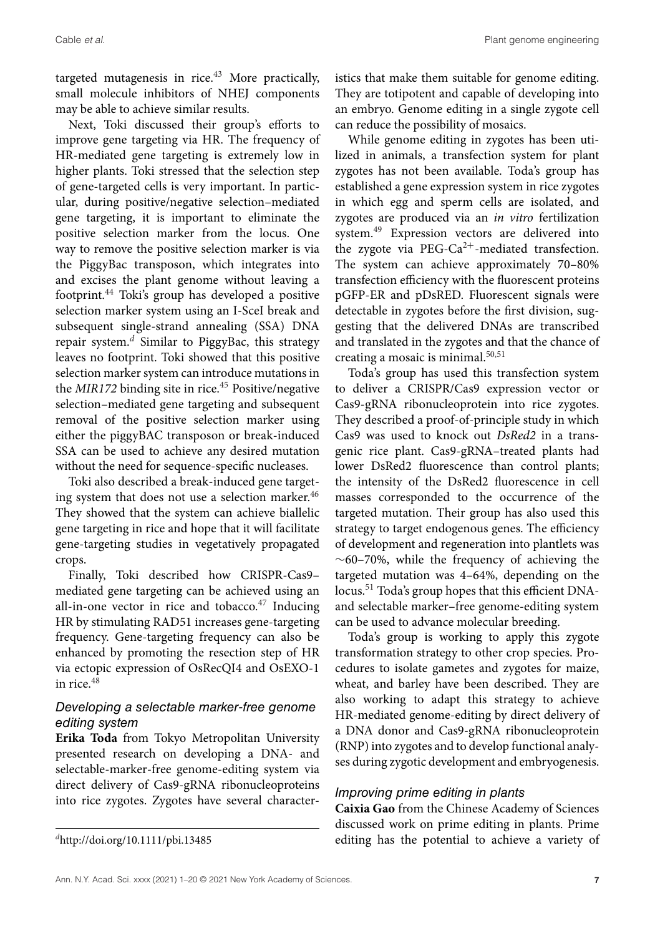targeted mutagenesis in rice. $43$  More practically, small molecule inhibitors of NHEJ components may be able to achieve similar results.

Next, Toki discussed their group's efforts to improve gene targeting via HR. The frequency of HR-mediated gene targeting is extremely low in higher plants. Toki stressed that the selection step of gene-targeted cells is very important. In particular, during positive/negative selection–mediated gene targeting, it is important to eliminate the positive selection marker from the locus. One way to remove the positive selection marker is via the PiggyBac transposon, which integrates into and excises the plant genome without leaving a footprint.44 Toki's group has developed a positive selection marker system using an I-SceI break and subsequent single-strand annealing (SSA) DNA repair system.*<sup>d</sup>* Similar to PiggyBac, this strategy leaves no footprint. Toki showed that this positive selection marker system can introduce mutations in the *MIR172* binding site in rice.<sup>45</sup> Positive/negative selection–mediated gene targeting and subsequent removal of the positive selection marker using either the piggyBAC transposon or break-induced SSA can be used to achieve any desired mutation without the need for sequence-specific nucleases.

Toki also described a break-induced gene targeting system that does not use a selection marker.<sup>46</sup> They showed that the system can achieve biallelic gene targeting in rice and hope that it will facilitate gene-targeting studies in vegetatively propagated crops.

Finally, Toki described how CRISPR-Cas9– mediated gene targeting can be achieved using an all-in-one vector in rice and tobacco. $47$  Inducing HR by stimulating RAD51 increases gene-targeting frequency. Gene-targeting frequency can also be enhanced by promoting the resection step of HR via ectopic expression of OsRecQI4 and OsEXO-1 in rice. $4\overline{8}$ 

## *Developing a selectable marker-free genome editing system*

**Erika Toda** from Tokyo Metropolitan University presented research on developing a DNA- and selectable-marker-free genome-editing system via direct delivery of Cas9-gRNA ribonucleoproteins into rice zygotes. Zygotes have several characteristics that make them suitable for genome editing. They are totipotent and capable of developing into an embryo. Genome editing in a single zygote cell can reduce the possibility of mosaics.

While genome editing in zygotes has been utilized in animals, a transfection system for plant zygotes has not been available. Toda's group has established a gene expression system in rice zygotes in which egg and sperm cells are isolated, and zygotes are produced via an *in vitro* fertilization system.49 Expression vectors are delivered into the zygote via PEG-Ca<sup>2+</sup>-mediated transfection. The system can achieve approximately 70–80% transfection efficiency with the fluorescent proteins pGFP-ER and pDsRED. Fluorescent signals were detectable in zygotes before the first division, suggesting that the delivered DNAs are transcribed and translated in the zygotes and that the chance of creating a mosaic is minimal. $50,51$ 

Toda's group has used this transfection system to deliver a CRISPR/Cas9 expression vector or Cas9-gRNA ribonucleoprotein into rice zygotes. They described a proof-of-principle study in which Cas9 was used to knock out *DsRed2* in a transgenic rice plant. Cas9-gRNA–treated plants had lower DsRed2 fluorescence than control plants; the intensity of the DsRed2 fluorescence in cell masses corresponded to the occurrence of the targeted mutation. Their group has also used this strategy to target endogenous genes. The efficiency of development and regeneration into plantlets was ∼60–70%, while the frequency of achieving the targeted mutation was 4–64%, depending on the locus.<sup>51</sup> Toda's group hopes that this efficient DNAand selectable marker–free genome-editing system can be used to advance molecular breeding.

Toda's group is working to apply this zygote transformation strategy to other crop species. Procedures to isolate gametes and zygotes for maize, wheat, and barley have been described. They are also working to adapt this strategy to achieve HR-mediated genome-editing by direct delivery of a DNA donor and Cas9-gRNA ribonucleoprotein (RNP) into zygotes and to develop functional analyses during zygotic development and embryogenesis.

#### *Improving prime editing in plants*

**Caixia Gao** from the Chinese Academy of Sciences discussed work on prime editing in plants. Prime editing has the potential to achieve a variety of

*<sup>d</sup>*<http://doi.org/10.1111/pbi.13485>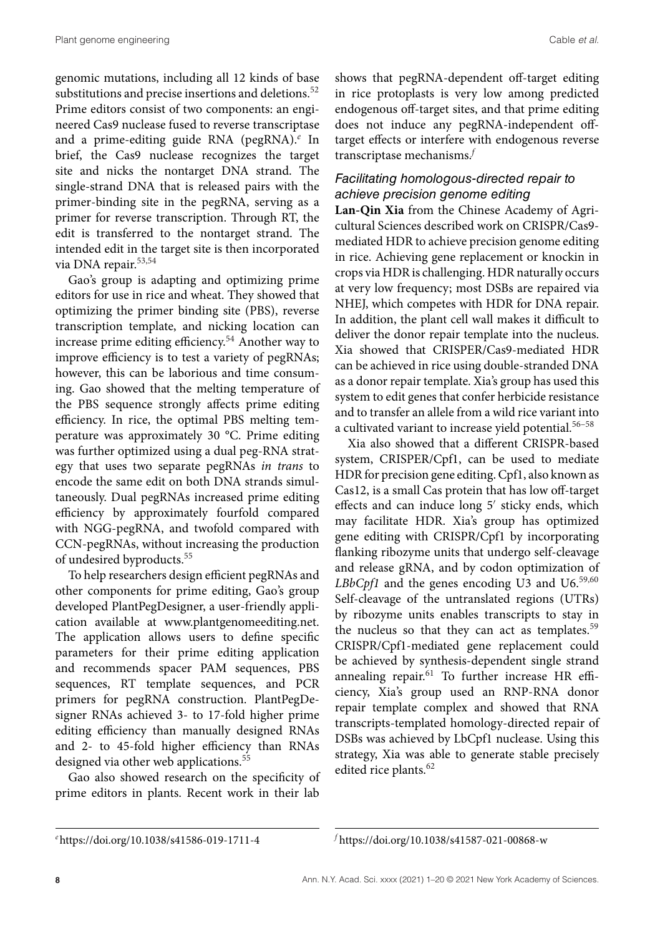genomic mutations, including all 12 kinds of base substitutions and precise insertions and deletions.<sup>52</sup> Prime editors consist of two components: an engineered Cas9 nuclease fused to reverse transcriptase and a prime-editing guide RNA (pegRNA).*<sup>e</sup>* In brief, the Cas9 nuclease recognizes the target site and nicks the nontarget DNA strand. The single-strand DNA that is released pairs with the primer-binding site in the pegRNA, serving as a primer for reverse transcription. Through RT, the edit is transferred to the nontarget strand. The intended edit in the target site is then incorporated via DNA repair.<sup>53,54</sup>

Gao's group is adapting and optimizing prime editors for use in rice and wheat. They showed that optimizing the primer binding site (PBS), reverse transcription template, and nicking location can increase prime editing efficiency.54 Another way to improve efficiency is to test a variety of pegRNAs; however, this can be laborious and time consuming. Gao showed that the melting temperature of the PBS sequence strongly affects prime editing efficiency. In rice, the optimal PBS melting temperature was approximately 30 °C. Prime editing was further optimized using a dual peg-RNA strategy that uses two separate pegRNAs *in trans* to encode the same edit on both DNA strands simultaneously. Dual pegRNAs increased prime editing efficiency by approximately fourfold compared with NGG-pegRNA, and twofold compared with CCN-pegRNAs, without increasing the production of undesired byproducts.55

To help researchers design efficient pegRNAs and other components for prime editing, Gao's group developed PlantPegDesigner, a user-friendly application available at [www.plantgenomeediting.net.](http://www.plantgenomeediting.net) The application allows users to define specific parameters for their prime editing application and recommends spacer PAM sequences, PBS sequences, RT template sequences, and PCR primers for pegRNA construction. PlantPegDesigner RNAs achieved 3- to 17-fold higher prime editing efficiency than manually designed RNAs and 2- to 45-fold higher efficiency than RNAs designed via other web applications.<sup>55</sup>

Gao also showed research on the specificity of prime editors in plants. Recent work in their lab shows that pegRNA-dependent off-target editing in rice protoplasts is very low among predicted endogenous off-target sites, and that prime editing does not induce any pegRNA-independent offtarget effects or interfere with endogenous reverse transcriptase mechanisms.*<sup>f</sup>*

## *Facilitating homologous-directed repair to achieve precision genome editing*

**Lan-Qin Xia** from the Chinese Academy of Agricultural Sciences described work on CRISPR/Cas9 mediated HDR to achieve precision genome editing in rice. Achieving gene replacement or knockin in crops via HDR is challenging. HDR naturally occurs at very low frequency; most DSBs are repaired via NHEJ, which competes with HDR for DNA repair. In addition, the plant cell wall makes it difficult to deliver the donor repair template into the nucleus. Xia showed that CRISPER/Cas9-mediated HDR can be achieved in rice using double-stranded DNA as a donor repair template. Xia's group has used this system to edit genes that confer herbicide resistance and to transfer an allele from a wild rice variant into a cultivated variant to increase yield potential.56–58

Xia also showed that a different CRISPR-based system, CRISPER/Cpf1, can be used to mediate HDR for precision gene editing. Cpf1, also known as Cas12, is a small Cas protein that has low off-target effects and can induce long 5' sticky ends, which may facilitate HDR. Xia's group has optimized gene editing with CRISPR/Cpf1 by incorporating flanking ribozyme units that undergo self-cleavage and release gRNA, and by codon optimization of LBbCpf1 and the genes encoding U3 and U6.<sup>59,60</sup> Self-cleavage of the untranslated regions (UTRs) by ribozyme units enables transcripts to stay in the nucleus so that they can act as templates.<sup>59</sup> CRISPR/Cpf1-mediated gene replacement could be achieved by synthesis-dependent single strand annealing repair.<sup>61</sup> To further increase HR efficiency, Xia's group used an RNP-RNA donor repair template complex and showed that RNA transcripts-templated homology-directed repair of DSBs was achieved by LbCpf1 nuclease. Using this strategy, Xia was able to generate stable precisely edited rice plants.<sup>62</sup>

*<sup>e</sup>*<https://doi.org/10.1038/s41586-019-1711-4>

*<sup>f</sup>* <https://doi.org/10.1038/s41587-021-00868-w>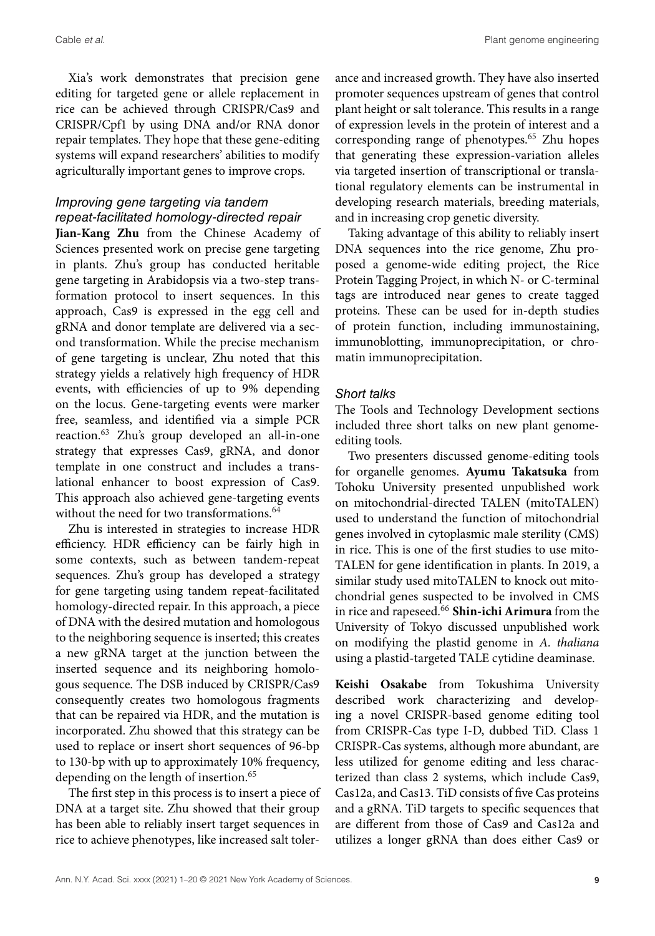Cable *et al.* Plant genome engineering

Xia's work demonstrates that precision gene editing for targeted gene or allele replacement in rice can be achieved through CRISPR/Cas9 and CRISPR/Cpf1 by using DNA and/or RNA donor repair templates. They hope that these gene-editing systems will expand researchers' abilities to modify agriculturally important genes to improve crops.

# *Improving gene targeting via tandem repeat-facilitated homology-directed repair*

**Jian-Kang Zhu** from the Chinese Academy of Sciences presented work on precise gene targeting in plants. Zhu's group has conducted heritable gene targeting in Arabidopsis via a two-step transformation protocol to insert sequences. In this approach, Cas9 is expressed in the egg cell and gRNA and donor template are delivered via a second transformation. While the precise mechanism of gene targeting is unclear, Zhu noted that this strategy yields a relatively high frequency of HDR events, with efficiencies of up to 9% depending on the locus. Gene-targeting events were marker free, seamless, and identified via a simple PCR reaction.63 Zhu's group developed an all-in-one strategy that expresses Cas9, gRNA, and donor template in one construct and includes a translational enhancer to boost expression of Cas9. This approach also achieved gene-targeting events without the need for two transformations.<sup>64</sup>

Zhu is interested in strategies to increase HDR efficiency. HDR efficiency can be fairly high in some contexts, such as between tandem-repeat sequences. Zhu's group has developed a strategy for gene targeting using tandem repeat-facilitated homology-directed repair. In this approach, a piece of DNA with the desired mutation and homologous to the neighboring sequence is inserted; this creates a new gRNA target at the junction between the inserted sequence and its neighboring homologous sequence. The DSB induced by CRISPR/Cas9 consequently creates two homologous fragments that can be repaired via HDR, and the mutation is incorporated. Zhu showed that this strategy can be used to replace or insert short sequences of 96-bp to 130-bp with up to approximately 10% frequency, depending on the length of insertion.<sup>65</sup>

The first step in this process is to insert a piece of DNA at a target site. Zhu showed that their group has been able to reliably insert target sequences in rice to achieve phenotypes, like increased salt tolerance and increased growth. They have also inserted promoter sequences upstream of genes that control plant height or salt tolerance. This results in a range of expression levels in the protein of interest and a corresponding range of phenotypes.<sup>65</sup> Zhu hopes that generating these expression-variation alleles via targeted insertion of transcriptional or translational regulatory elements can be instrumental in developing research materials, breeding materials, and in increasing crop genetic diversity.

Taking advantage of this ability to reliably insert DNA sequences into the rice genome, Zhu proposed a genome-wide editing project, the Rice Protein Tagging Project, in which N- or C-terminal tags are introduced near genes to create tagged proteins. These can be used for in-depth studies of protein function, including immunostaining, immunoblotting, immunoprecipitation, or chromatin immunoprecipitation.

#### *Short talks*

The Tools and Technology Development sections included three short talks on new plant genomeediting tools.

Two presenters discussed genome-editing tools for organelle genomes. **Ayumu Takatsuka** from Tohoku University presented unpublished work on mitochondrial-directed TALEN (mitoTALEN) used to understand the function of mitochondrial genes involved in cytoplasmic male sterility (CMS) in rice. This is one of the first studies to use mito-TALEN for gene identification in plants. In 2019, a similar study used mitoTALEN to knock out mitochondrial genes suspected to be involved in CMS in rice and rapeseed.<sup>66</sup> **Shin-ichi Arimura** from the University of Tokyo discussed unpublished work on modifying the plastid genome in *A. thaliana* using a plastid-targeted TALE cytidine deaminase.

**Keishi Osakabe** from Tokushima University described work characterizing and developing a novel CRISPR-based genome editing tool from CRISPR-Cas type I-D, dubbed TiD. Class 1 CRISPR-Cas systems, although more abundant, are less utilized for genome editing and less characterized than class 2 systems, which include Cas9, Cas12a, and Cas13. TiD consists of five Cas proteins and a gRNA. TiD targets to specific sequences that are different from those of Cas9 and Cas12a and utilizes a longer gRNA than does either Cas9 or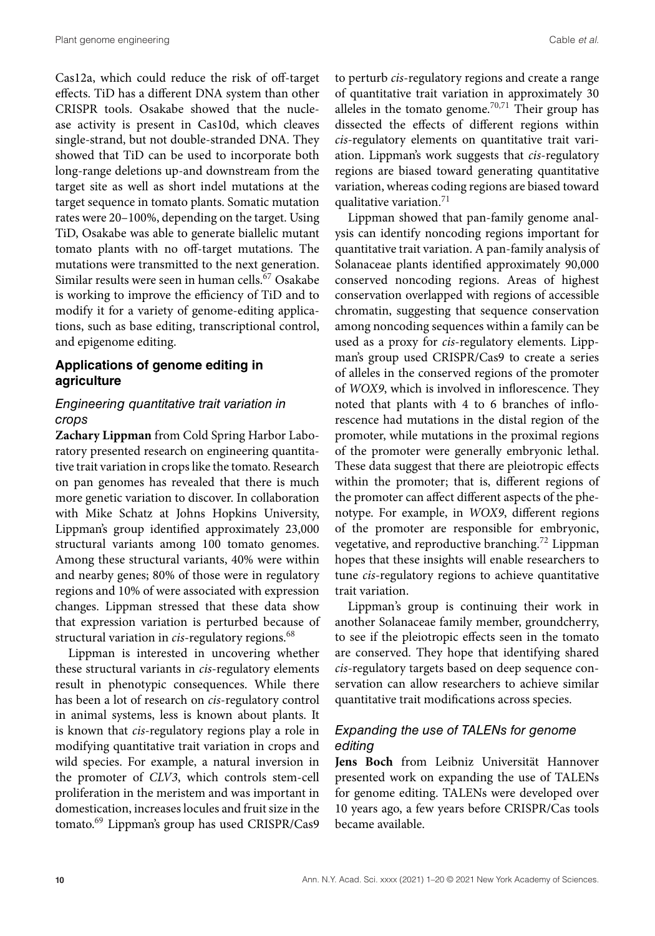Cas12a, which could reduce the risk of off-target effects. TiD has a different DNA system than other CRISPR tools. Osakabe showed that the nuclease activity is present in Cas10d, which cleaves single-strand, but not double-stranded DNA. They showed that TiD can be used to incorporate both long-range deletions up-and downstream from the target site as well as short indel mutations at the target sequence in tomato plants. Somatic mutation rates were 20–100%, depending on the target. Using TiD, Osakabe was able to generate biallelic mutant tomato plants with no off-target mutations. The mutations were transmitted to the next generation. Similar results were seen in human cells.<sup>67</sup> Osakabe is working to improve the efficiency of TiD and to modify it for a variety of genome-editing applications, such as base editing, transcriptional control, and epigenome editing.

## **Applications of genome editing in agriculture**

#### *Engineering quantitative trait variation in crops*

**Zachary Lippman** from Cold Spring Harbor Laboratory presented research on engineering quantitative trait variation in crops like the tomato. Research on pan genomes has revealed that there is much more genetic variation to discover. In collaboration with Mike Schatz at Johns Hopkins University, Lippman's group identified approximately 23,000 structural variants among 100 tomato genomes. Among these structural variants, 40% were within and nearby genes; 80% of those were in regulatory regions and 10% of were associated with expression changes. Lippman stressed that these data show that expression variation is perturbed because of structural variation in *cis*-regulatory regions.<sup>68</sup>

Lippman is interested in uncovering whether these structural variants in *cis*-regulatory elements result in phenotypic consequences. While there has been a lot of research on *cis*-regulatory control in animal systems, less is known about plants. It is known that *cis*-regulatory regions play a role in modifying quantitative trait variation in crops and wild species. For example, a natural inversion in the promoter of *CLV3*, which controls stem-cell proliferation in the meristem and was important in domestication, increases locules and fruit size in the tomato.<sup>69</sup> Lippman's group has used CRISPR/Cas9 to perturb *cis*-regulatory regions and create a range of quantitative trait variation in approximately 30 alleles in the tomato genome. $70,71$  Their group has dissected the effects of different regions within *cis*-regulatory elements on quantitative trait variation. Lippman's work suggests that *cis*-regulatory regions are biased toward generating quantitative variation, whereas coding regions are biased toward qualitative variation.<sup>71</sup>

Lippman showed that pan-family genome analysis can identify noncoding regions important for quantitative trait variation. A pan-family analysis of Solanaceae plants identified approximately 90,000 conserved noncoding regions. Areas of highest conservation overlapped with regions of accessible chromatin, suggesting that sequence conservation among noncoding sequences within a family can be used as a proxy for *cis*-regulatory elements. Lippman's group used CRISPR/Cas9 to create a series of alleles in the conserved regions of the promoter of *WOX9*, which is involved in inflorescence. They noted that plants with 4 to 6 branches of inflorescence had mutations in the distal region of the promoter, while mutations in the proximal regions of the promoter were generally embryonic lethal. These data suggest that there are pleiotropic effects within the promoter; that is, different regions of the promoter can affect different aspects of the phenotype. For example, in *WOX9*, different regions of the promoter are responsible for embryonic, vegetative, and reproductive branching.<sup>72</sup> Lippman hopes that these insights will enable researchers to tune *cis*-regulatory regions to achieve quantitative trait variation.

Lippman's group is continuing their work in another Solanaceae family member, groundcherry, to see if the pleiotropic effects seen in the tomato are conserved. They hope that identifying shared *cis*-regulatory targets based on deep sequence conservation can allow researchers to achieve similar quantitative trait modifications across species.

#### *Expanding the use of TALENs for genome editing*

**Jens Boch** from Leibniz Universität Hannover presented work on expanding the use of TALENs for genome editing. TALENs were developed over 10 years ago, a few years before CRISPR/Cas tools became available.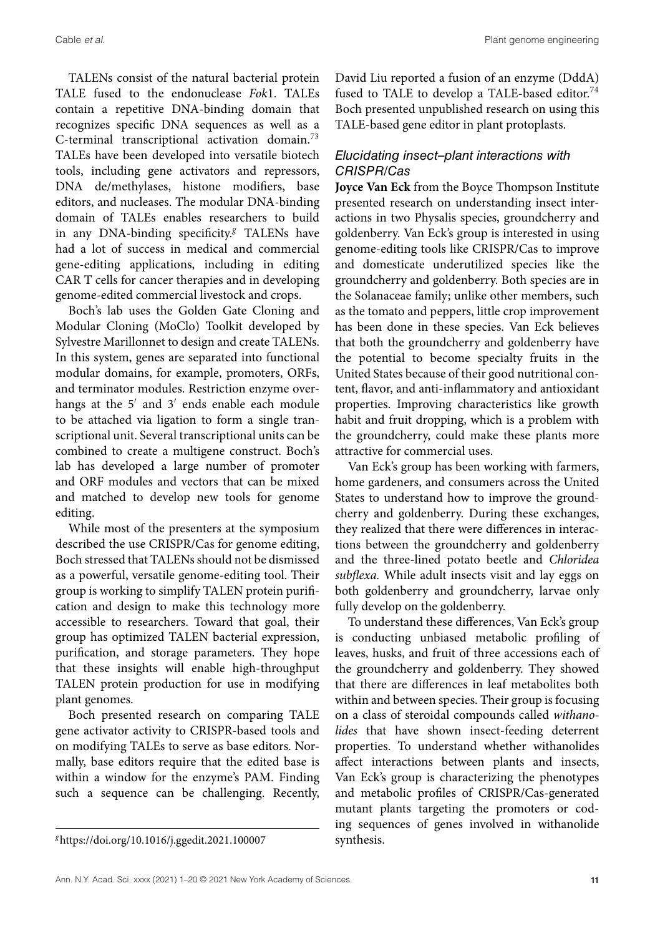TALENs consist of the natural bacterial protein TALE fused to the endonuclease *Fok*1. TALEs contain a repetitive DNA-binding domain that recognizes specific DNA sequences as well as a C-terminal transcriptional activation domain.73 TALEs have been developed into versatile biotech tools, including gene activators and repressors, DNA de/methylases, histone modifiers, base editors, and nucleases. The modular DNA-binding domain of TALEs enables researchers to build in any DNA-binding specificity.*<sup>g</sup>* TALENs have had a lot of success in medical and commercial gene-editing applications, including in editing CAR T cells for cancer therapies and in developing genome-edited commercial livestock and crops.

Boch's lab uses the Golden Gate Cloning and Modular Cloning (MoClo) Toolkit developed by Sylvestre Marillonnet to design and create TALENs. In this system, genes are separated into functional modular domains, for example, promoters, ORFs, and terminator modules. Restriction enzyme overhangs at the  $5'$  and  $3'$  ends enable each module to be attached via ligation to form a single transcriptional unit. Several transcriptional units can be combined to create a multigene construct. Boch's lab has developed a large number of promoter and ORF modules and vectors that can be mixed and matched to develop new tools for genome editing.

While most of the presenters at the symposium described the use CRISPR/Cas for genome editing, Boch stressed that TALENs should not be dismissed as a powerful, versatile genome-editing tool. Their group is working to simplify TALEN protein purification and design to make this technology more accessible to researchers. Toward that goal, their group has optimized TALEN bacterial expression, purification, and storage parameters. They hope that these insights will enable high-throughput TALEN protein production for use in modifying plant genomes.

Boch presented research on comparing TALE gene activator activity to CRISPR-based tools and on modifying TALEs to serve as base editors. Normally, base editors require that the edited base is within a window for the enzyme's PAM. Finding such a sequence can be challenging. Recently, David Liu reported a fusion of an enzyme (DddA) fused to TALE to develop a TALE-based editor.<sup>74</sup> Boch presented unpublished research on using this TALE-based gene editor in plant protoplasts.

## *Elucidating insect–plant interactions with CRISPR/Cas*

**Joyce Van Eck** from the Boyce Thompson Institute presented research on understanding insect interactions in two Physalis species, groundcherry and goldenberry. Van Eck's group is interested in using genome-editing tools like CRISPR/Cas to improve and domesticate underutilized species like the groundcherry and goldenberry. Both species are in the Solanaceae family; unlike other members, such as the tomato and peppers, little crop improvement has been done in these species. Van Eck believes that both the groundcherry and goldenberry have the potential to become specialty fruits in the United States because of their good nutritional content, flavor, and anti-inflammatory and antioxidant properties. Improving characteristics like growth habit and fruit dropping, which is a problem with the groundcherry, could make these plants more attractive for commercial uses.

Van Eck's group has been working with farmers, home gardeners, and consumers across the United States to understand how to improve the groundcherry and goldenberry. During these exchanges, they realized that there were differences in interactions between the groundcherry and goldenberry and the three-lined potato beetle and *Chloridea subflexa.* While adult insects visit and lay eggs on both goldenberry and groundcherry, larvae only fully develop on the goldenberry.

To understand these differences, Van Eck's group is conducting unbiased metabolic profiling of leaves, husks, and fruit of three accessions each of the groundcherry and goldenberry. They showed that there are differences in leaf metabolites both within and between species. Their group is focusing on a class of steroidal compounds called *withanolides* that have shown insect-feeding deterrent properties. To understand whether withanolides affect interactions between plants and insects, Van Eck's group is characterizing the phenotypes and metabolic profiles of CRISPR/Cas-generated mutant plants targeting the promoters or coding sequences of genes involved in withanolide synthesis.

*<sup>g</sup>*<https://doi.org/10.1016/j.ggedit.2021.100007>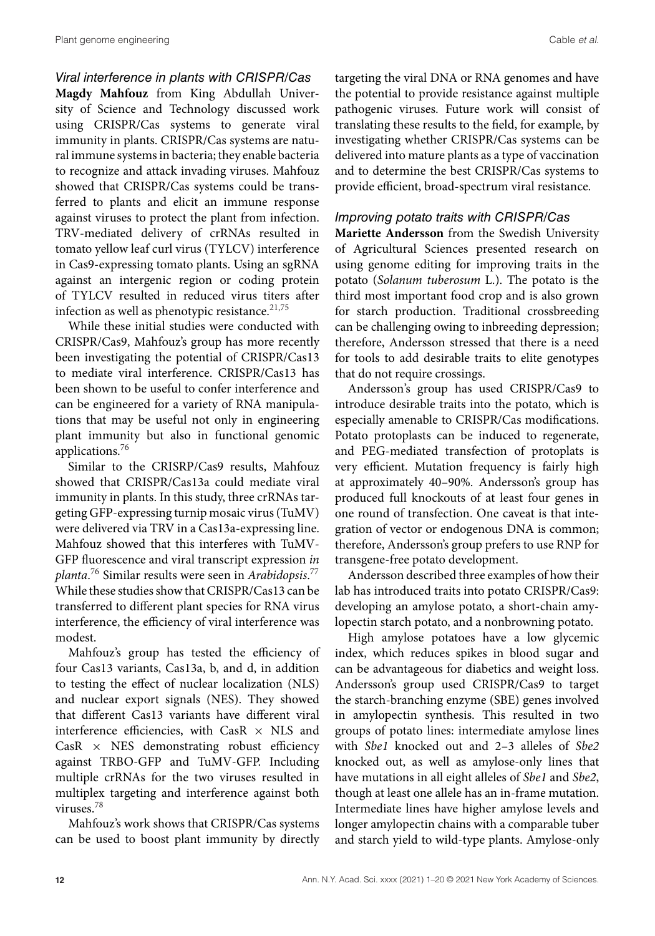## *Viral interference in plants with CRISPR/Cas*

**Magdy Mahfouz** from King Abdullah University of Science and Technology discussed work using CRISPR/Cas systems to generate viral immunity in plants. CRISPR/Cas systems are natural immune systems in bacteria; they enable bacteria to recognize and attack invading viruses. Mahfouz showed that CRISPR/Cas systems could be transferred to plants and elicit an immune response against viruses to protect the plant from infection. TRV-mediated delivery of crRNAs resulted in tomato yellow leaf curl virus (TYLCV) interference in Cas9-expressing tomato plants. Using an sgRNA against an intergenic region or coding protein of TYLCV resulted in reduced virus titers after infection as well as phenotypic resistance. $21,75$ 

While these initial studies were conducted with CRISPR/Cas9, Mahfouz's group has more recently been investigating the potential of CRISPR/Cas13 to mediate viral interference. CRISPR/Cas13 has been shown to be useful to confer interference and can be engineered for a variety of RNA manipulations that may be useful not only in engineering plant immunity but also in functional genomic applications.76

Similar to the CRISRP/Cas9 results, Mahfouz showed that CRISPR/Cas13a could mediate viral immunity in plants. In this study, three crRNAs targeting GFP-expressing turnip mosaic virus (TuMV) were delivered via TRV in a Cas13a-expressing line. Mahfouz showed that this interferes with TuMV-GFP fluorescence and viral transcript expression *in planta*. <sup>76</sup> Similar results were seen in *Arabidopsis*. 77 While these studies show that CRISPR/Cas13 can be transferred to different plant species for RNA virus interference, the efficiency of viral interference was modest.

Mahfouz's group has tested the efficiency of four Cas13 variants, Cas13a, b, and d, in addition to testing the effect of nuclear localization (NLS) and nuclear export signals (NES). They showed that different Cas13 variants have different viral interference efficiencies, with CasR  $\times$  NLS and  $\text{CasR} \times \text{NES}$  demonstrating robust efficiency against TRBO-GFP and TuMV-GFP. Including multiple crRNAs for the two viruses resulted in multiplex targeting and interference against both viruses.<sup>78</sup>

Mahfouz's work shows that CRISPR/Cas systems can be used to boost plant immunity by directly targeting the viral DNA or RNA genomes and have the potential to provide resistance against multiple pathogenic viruses. Future work will consist of translating these results to the field, for example, by investigating whether CRISPR/Cas systems can be delivered into mature plants as a type of vaccination and to determine the best CRISPR/Cas systems to provide efficient, broad-spectrum viral resistance.

#### *Improving potato traits with CRISPR/Cas*

**Mariette Andersson** from the Swedish University of Agricultural Sciences presented research on using genome editing for improving traits in the potato (*Solanum tuberosum* L.). The potato is the third most important food crop and is also grown for starch production. Traditional crossbreeding can be challenging owing to inbreeding depression; therefore, Andersson stressed that there is a need for tools to add desirable traits to elite genotypes that do not require crossings.

Andersson's group has used CRISPR/Cas9 to introduce desirable traits into the potato, which is especially amenable to CRISPR/Cas modifications. Potato protoplasts can be induced to regenerate, and PEG-mediated transfection of protoplats is very efficient. Mutation frequency is fairly high at approximately 40–90%. Andersson's group has produced full knockouts of at least four genes in one round of transfection. One caveat is that integration of vector or endogenous DNA is common; therefore, Andersson's group prefers to use RNP for transgene-free potato development.

Andersson described three examples of how their lab has introduced traits into potato CRISPR/Cas9: developing an amylose potato, a short-chain amylopectin starch potato, and a nonbrowning potato.

High amylose potatoes have a low glycemic index, which reduces spikes in blood sugar and can be advantageous for diabetics and weight loss. Andersson's group used CRISPR/Cas9 to target the starch-branching enzyme (SBE) genes involved in amylopectin synthesis. This resulted in two groups of potato lines: intermediate amylose lines with *Sbe1* knocked out and 2–3 alleles of *Sbe2* knocked out, as well as amylose-only lines that have mutations in all eight alleles of *Sbe1* and *Sbe2*, though at least one allele has an in-frame mutation. Intermediate lines have higher amylose levels and longer amylopectin chains with a comparable tuber and starch yield to wild-type plants. Amylose-only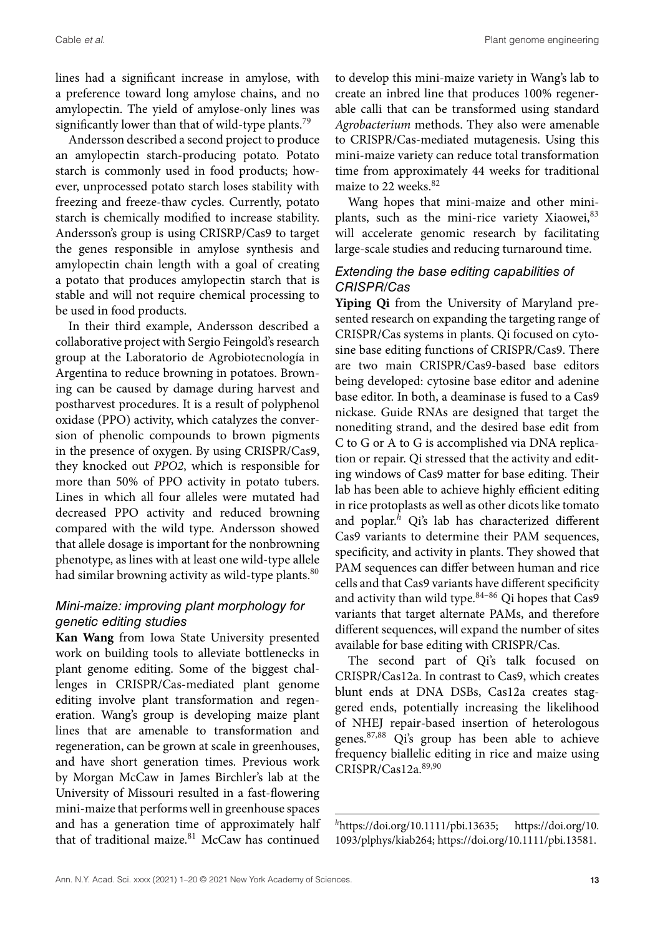lines had a significant increase in amylose, with a preference toward long amylose chains, and no amylopectin. The yield of amylose-only lines was significantly lower than that of wild-type plants.<sup>79</sup>

Andersson described a second project to produce an amylopectin starch-producing potato. Potato starch is commonly used in food products; however, unprocessed potato starch loses stability with freezing and freeze-thaw cycles. Currently, potato starch is chemically modified to increase stability. Andersson's group is using CRISRP/Cas9 to target the genes responsible in amylose synthesis and amylopectin chain length with a goal of creating a potato that produces amylopectin starch that is stable and will not require chemical processing to be used in food products.

In their third example, Andersson described a collaborative project with Sergio Feingold's research group at the Laboratorio de Agrobiotecnología in Argentina to reduce browning in potatoes. Browning can be caused by damage during harvest and postharvest procedures. It is a result of polyphenol oxidase (PPO) activity, which catalyzes the conversion of phenolic compounds to brown pigments in the presence of oxygen. By using CRISPR/Cas9, they knocked out *PPO2*, which is responsible for more than 50% of PPO activity in potato tubers. Lines in which all four alleles were mutated had decreased PPO activity and reduced browning compared with the wild type. Andersson showed that allele dosage is important for the nonbrowning phenotype, as lines with at least one wild-type allele had similar browning activity as wild-type plants.<sup>80</sup>

## *Mini-maize: improving plant morphology for genetic editing studies*

**Kan Wang** from Iowa State University presented work on building tools to alleviate bottlenecks in plant genome editing. Some of the biggest challenges in CRISPR/Cas-mediated plant genome editing involve plant transformation and regeneration. Wang's group is developing maize plant lines that are amenable to transformation and regeneration, can be grown at scale in greenhouses, and have short generation times. Previous work by Morgan McCaw in James Birchler's lab at the University of Missouri resulted in a fast-flowering mini-maize that performs well in greenhouse spaces and has a generation time of approximately half that of traditional maize. $81$  McCaw has continued

to develop this mini-maize variety in Wang's lab to create an inbred line that produces 100% regenerable calli that can be transformed using standard *Agrobacterium* methods. They also were amenable to CRISPR/Cas-mediated mutagenesis. Using this mini-maize variety can reduce total transformation time from approximately 44 weeks for traditional maize to 22 weeks.<sup>82</sup>

Wang hopes that mini-maize and other miniplants, such as the mini-rice variety Xiaowei, 83 will accelerate genomic research by facilitating large-scale studies and reducing turnaround time.

### *Extending the base editing capabilities of CRISPR/Cas*

**Yiping Qi** from the University of Maryland presented research on expanding the targeting range of CRISPR/Cas systems in plants. Qi focused on cytosine base editing functions of CRISPR/Cas9. There are two main CRISPR/Cas9-based base editors being developed: cytosine base editor and adenine base editor. In both, a deaminase is fused to a Cas9 nickase. Guide RNAs are designed that target the nonediting strand, and the desired base edit from C to G or A to G is accomplished via DNA replication or repair. Qi stressed that the activity and editing windows of Cas9 matter for base editing. Their lab has been able to achieve highly efficient editing in rice protoplasts as well as other dicots like tomato and poplar.*<sup>h</sup>* Qi's lab has characterized different Cas9 variants to determine their PAM sequences, specificity, and activity in plants. They showed that PAM sequences can differ between human and rice cells and that Cas9 variants have different specificity and activity than wild type. $84-86$  Qi hopes that Cas9 variants that target alternate PAMs, and therefore different sequences, will expand the number of sites available for base editing with CRISPR/Cas.

The second part of Qi's talk focused on CRISPR/Cas12a. In contrast to Cas9, which creates blunt ends at DNA DSBs, Cas12a creates staggered ends, potentially increasing the likelihood of NHEJ repair-based insertion of heterologous genes.87,88 Qi's group has been able to achieve frequency biallelic editing in rice and maize using CRISPR/Cas12a.89,90

*<sup>h</sup>*[https://doi.org/10.1111/pbi.13635;](https://doi.org/10.1111/pbi.13635) [https://doi.org/10.](https://doi.org/10.1093/plphys/kiab264) [1093/plphys/kiab264;](https://doi.org/10.1093/plphys/kiab264) [https://doi.org/10.1111/pbi.13581.](https://doi.org/10.1111/pbi.13581)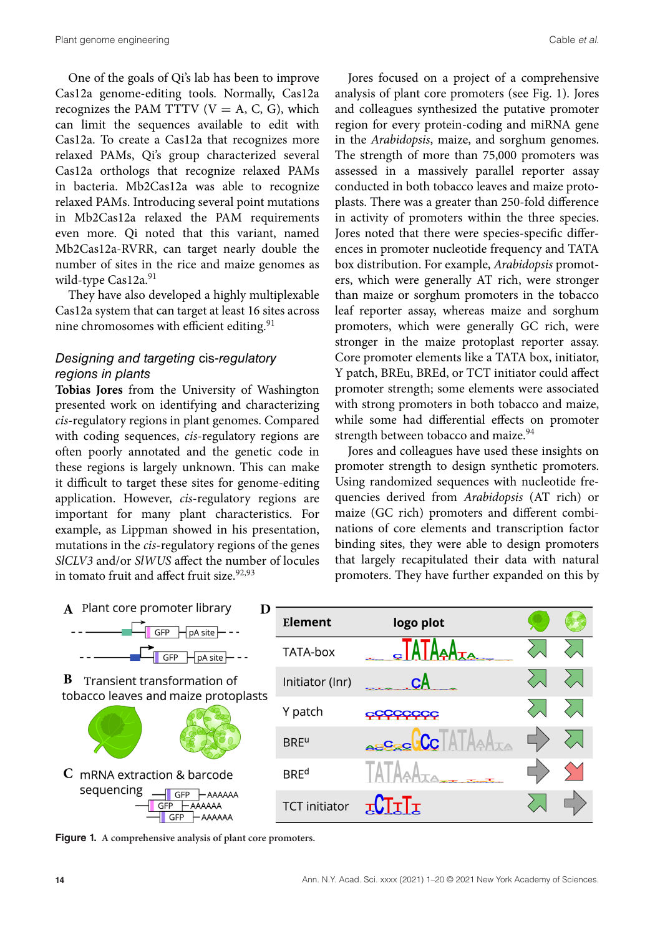One of the goals of Qi's lab has been to improve Cas12a genome-editing tools. Normally, Cas12a recognizes the PAM TTTV  $(V = A, C, G)$ , which can limit the sequences available to edit with Cas12a. To create a Cas12a that recognizes more relaxed PAMs, Qi's group characterized several Cas12a orthologs that recognize relaxed PAMs in bacteria. Mb2Cas12a was able to recognize relaxed PAMs. Introducing several point mutations in Mb2Cas12a relaxed the PAM requirements even more. Qi noted that this variant, named Mb2Cas12a-RVRR, can target nearly double the number of sites in the rice and maize genomes as wild-type Cas12a.<sup>91</sup>

They have also developed a highly multiplexable Cas12a system that can target at least 16 sites across nine chromosomes with efficient editing.<sup>91</sup>

#### *Designing and targeting* cis*-regulatory regions in plants*

**Tobias Jores** from the University of Washington presented work on identifying and characterizing *cis*-regulatory regions in plant genomes. Compared with coding sequences, *cis*-regulatory regions are often poorly annotated and the genetic code in these regions is largely unknown. This can make it difficult to target these sites for genome-editing application. However, *cis*-regulatory regions are important for many plant characteristics. For example, as Lippman showed in his presentation, mutations in the *cis*-regulatory regions of the genes *SlCLV3* and/or *SlWUS* affect the number of locules in tomato fruit and affect fruit size.<sup>92,93</sup>

Jores focused on a project of a comprehensive analysis of plant core promoters (see Fig. 1). Jores and colleagues synthesized the putative promoter region for every protein-coding and miRNA gene in the *Arabidopsis*, maize, and sorghum genomes. The strength of more than 75,000 promoters was assessed in a massively parallel reporter assay conducted in both tobacco leaves and maize protoplasts. There was a greater than 250-fold difference in activity of promoters within the three species. Jores noted that there were species-specific differences in promoter nucleotide frequency and TATA box distribution. For example, *Arabidopsis* promoters, which were generally AT rich, were stronger than maize or sorghum promoters in the tobacco leaf reporter assay, whereas maize and sorghum promoters, which were generally GC rich, were stronger in the maize protoplast reporter assay. Core promoter elements like a TATA box, initiator, Y patch, BREu, BREd, or TCT initiator could affect promoter strength; some elements were associated with strong promoters in both tobacco and maize, while some had differential effects on promoter strength between tobacco and maize.<sup>94</sup>

Jores and colleagues have used these insights on promoter strength to design synthetic promoters. Using randomized sequences with nucleotide frequencies derived from *Arabidopsis* (AT rich) or maize (GC rich) promoters and different combinations of core elements and transcription factor binding sites, they were able to design promoters that largely recapitulated their data with natural promoters. They have further expanded on this by



**Figure 1. A comprehensive analysis of plant core promoters.**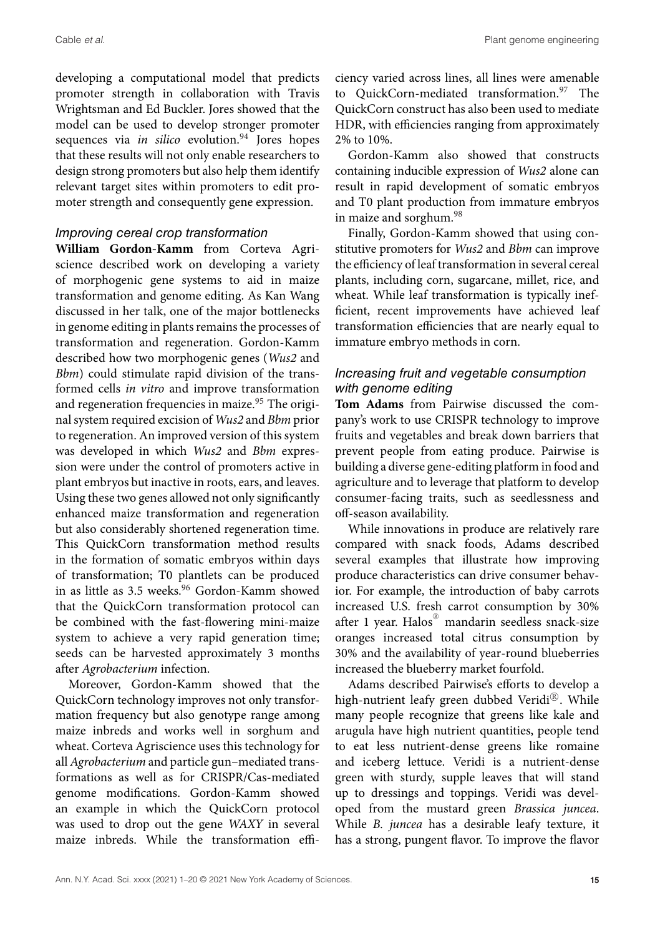developing a computational model that predicts promoter strength in collaboration with Travis Wrightsman and Ed Buckler. Jores showed that the model can be used to develop stronger promoter sequences via *in silico* evolution.<sup>94</sup> Jores hopes that these results will not only enable researchers to design strong promoters but also help them identify relevant target sites within promoters to edit promoter strength and consequently gene expression.

#### *Improving cereal crop transformation*

**William Gordon-Kamm** from Corteva Agriscience described work on developing a variety of morphogenic gene systems to aid in maize transformation and genome editing. As Kan Wang discussed in her talk, one of the major bottlenecks in genome editing in plants remains the processes of transformation and regeneration. Gordon-Kamm described how two morphogenic genes (*Wus2* and *Bbm*) could stimulate rapid division of the transformed cells *in vitro* and improve transformation and regeneration frequencies in maize.<sup>95</sup> The original system required excision of *Wus2* and *Bbm* prior to regeneration. An improved version of this system was developed in which *Wus2* and *Bbm* expression were under the control of promoters active in plant embryos but inactive in roots, ears, and leaves. Using these two genes allowed not only significantly enhanced maize transformation and regeneration but also considerably shortened regeneration time. This QuickCorn transformation method results in the formation of somatic embryos within days of transformation; T0 plantlets can be produced in as little as 3.5 weeks.<sup>96</sup> Gordon-Kamm showed that the QuickCorn transformation protocol can be combined with the fast-flowering mini-maize system to achieve a very rapid generation time; seeds can be harvested approximately 3 months after *Agrobacterium* infection.

Moreover, Gordon-Kamm showed that the QuickCorn technology improves not only transformation frequency but also genotype range among maize inbreds and works well in sorghum and wheat. Corteva Agriscience uses this technology for all *Agrobacterium* and particle gun–mediated transformations as well as for CRISPR/Cas-mediated genome modifications. Gordon-Kamm showed an example in which the QuickCorn protocol was used to drop out the gene *WAXY* in several maize inbreds. While the transformation efficiency varied across lines, all lines were amenable to QuickCorn-mediated transformation.<sup>97</sup> The QuickCorn construct has also been used to mediate HDR, with efficiencies ranging from approximately 2% to 10%.

Gordon-Kamm also showed that constructs containing inducible expression of *Wus2* alone can result in rapid development of somatic embryos and T0 plant production from immature embryos in maize and sorghum.<sup>98</sup>

Finally, Gordon-Kamm showed that using constitutive promoters for *Wus2* and *Bbm* can improve the efficiency of leaf transformation in several cereal plants, including corn, sugarcane, millet, rice, and wheat. While leaf transformation is typically inefficient, recent improvements have achieved leaf transformation efficiencies that are nearly equal to immature embryo methods in corn.

## *Increasing fruit and vegetable consumption with genome editing*

**Tom Adams** from Pairwise discussed the company's work to use CRISPR technology to improve fruits and vegetables and break down barriers that prevent people from eating produce. Pairwise is building a diverse gene-editing platform in food and agriculture and to leverage that platform to develop consumer-facing traits, such as seedlessness and off-season availability.

While innovations in produce are relatively rare compared with snack foods, Adams described several examples that illustrate how improving produce characteristics can drive consumer behavior. For example, the introduction of baby carrots increased U.S. fresh carrot consumption by 30% after 1 year. Halos® mandarin seedless snack-size oranges increased total citrus consumption by 30% and the availability of year-round blueberries increased the blueberry market fourfold.

Adams described Pairwise's efforts to develop a high-nutrient leafy green dubbed Veridi<sup>®</sup>. While many people recognize that greens like kale and arugula have high nutrient quantities, people tend to eat less nutrient-dense greens like romaine and iceberg lettuce. Veridi is a nutrient-dense green with sturdy, supple leaves that will stand up to dressings and toppings. Veridi was developed from the mustard green *Brassica juncea*. While *B. juncea* has a desirable leafy texture, it has a strong, pungent flavor. To improve the flavor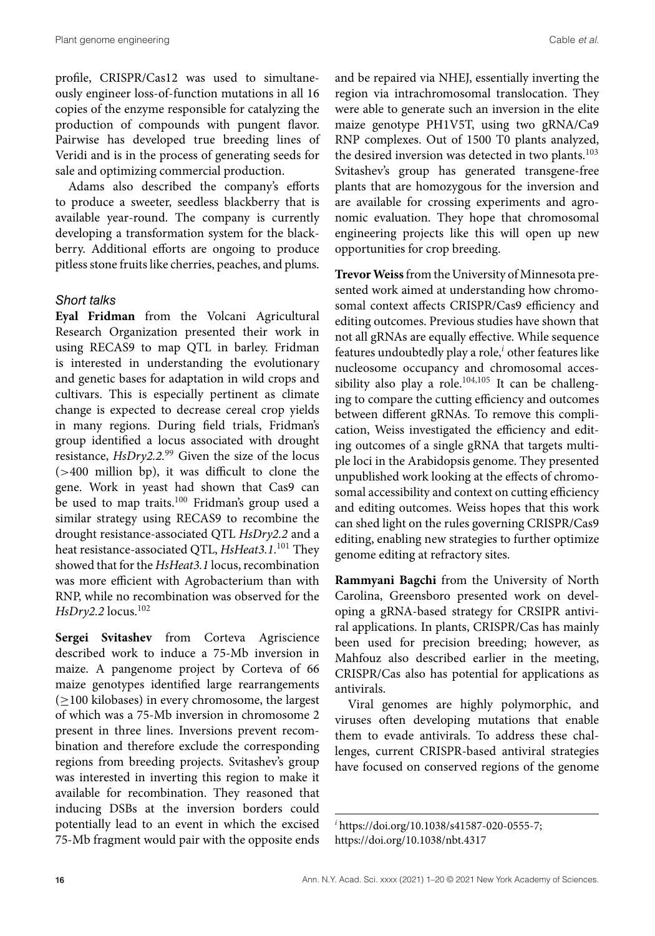profile, CRISPR/Cas12 was used to simultaneously engineer loss-of-function mutations in all 16 copies of the enzyme responsible for catalyzing the production of compounds with pungent flavor. Pairwise has developed true breeding lines of Veridi and is in the process of generating seeds for sale and optimizing commercial production.

Adams also described the company's efforts to produce a sweeter, seedless blackberry that is available year-round. The company is currently developing a transformation system for the blackberry. Additional efforts are ongoing to produce pitless stone fruits like cherries, peaches, and plums.

#### *Short talks*

**Eyal Fridman** from the Volcani Agricultural Research Organization presented their work in using RECAS9 to map QTL in barley. Fridman is interested in understanding the evolutionary and genetic bases for adaptation in wild crops and cultivars. This is especially pertinent as climate change is expected to decrease cereal crop yields in many regions. During field trials, Fridman's group identified a locus associated with drought resistance, *HsDry2.2.*<sup>99</sup> Given the size of the locus (*>*400 million bp), it was difficult to clone the gene. Work in yeast had shown that Cas9 can be used to map traits.<sup>100</sup> Fridman's group used a similar strategy using RECAS9 to recombine the drought resistance-associated QTL *HsDry2.2* and a heat resistance-associated QTL, *HsHeat3.1*. <sup>101</sup> They showed that for the *HsHeat3.1* locus, recombination was more efficient with Agrobacterium than with RNP, while no recombination was observed for the *HsDry2.2* locus.102

**Sergei Svitashev** from Corteva Agriscience described work to induce a 75-Mb inversion in maize. A pangenome project by Corteva of 66 maize genotypes identified large rearrangements  $(\geq 100 \text{ kilobases})$  in every chromosome, the largest of which was a 75-Mb inversion in chromosome 2 present in three lines. Inversions prevent recombination and therefore exclude the corresponding regions from breeding projects. Svitashev's group was interested in inverting this region to make it available for recombination. They reasoned that inducing DSBs at the inversion borders could potentially lead to an event in which the excised 75-Mb fragment would pair with the opposite ends and be repaired via NHEJ, essentially inverting the region via intrachromosomal translocation. They were able to generate such an inversion in the elite maize genotype PH1V5T, using two gRNA/Ca9 RNP complexes. Out of 1500 T0 plants analyzed, the desired inversion was detected in two plants.<sup>103</sup> Svitashev's group has generated transgene-free plants that are homozygous for the inversion and are available for crossing experiments and agronomic evaluation. They hope that chromosomal engineering projects like this will open up new opportunities for crop breeding.

Trevor Weiss from the University of Minnesota presented work aimed at understanding how chromosomal context affects CRISPR/Cas9 efficiency and editing outcomes. Previous studies have shown that not all gRNAs are equally effective. While sequence features undoubtedly play a role,*<sup>i</sup>* other features like nucleosome occupancy and chromosomal accessibility also play a role.<sup>104,105</sup> It can be challenging to compare the cutting efficiency and outcomes between different gRNAs. To remove this complication, Weiss investigated the efficiency and editing outcomes of a single gRNA that targets multiple loci in the Arabidopsis genome. They presented unpublished work looking at the effects of chromosomal accessibility and context on cutting efficiency and editing outcomes. Weiss hopes that this work can shed light on the rules governing CRISPR/Cas9 editing, enabling new strategies to further optimize genome editing at refractory sites.

**Rammyani Bagchi** from the University of North Carolina, Greensboro presented work on developing a gRNA-based strategy for CRSIPR antiviral applications. In plants, CRISPR/Cas has mainly been used for precision breeding; however, as Mahfouz also described earlier in the meeting, CRISPR/Cas also has potential for applications as antivirals.

Viral genomes are highly polymorphic, and viruses often developing mutations that enable them to evade antivirals. To address these challenges, current CRISPR-based antiviral strategies have focused on conserved regions of the genome

*<sup>i</sup>* [https://doi.org/10.1038/s41587-020-0555-7;](https://doi.org/10.1038/s41587-020-0555-7) <https://doi.org/10.1038/nbt.4317>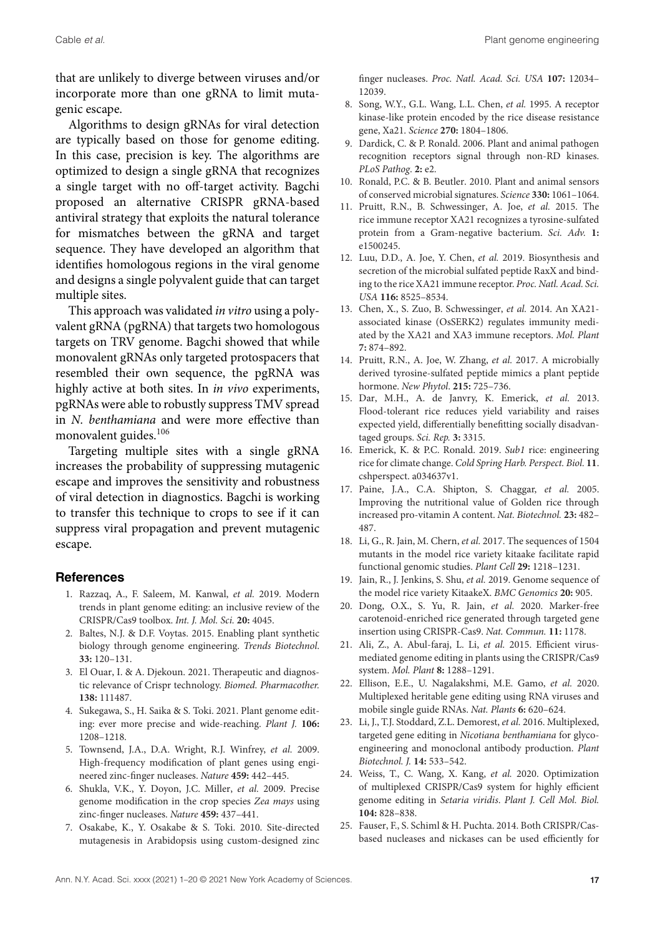that are unlikely to diverge between viruses and/or incorporate more than one gRNA to limit mutagenic escape.

Algorithms to design gRNAs for viral detection are typically based on those for genome editing. In this case, precision is key. The algorithms are optimized to design a single gRNA that recognizes a single target with no off-target activity. Bagchi proposed an alternative CRISPR gRNA-based antiviral strategy that exploits the natural tolerance for mismatches between the gRNA and target sequence. They have developed an algorithm that identifies homologous regions in the viral genome and designs a single polyvalent guide that can target multiple sites.

This approach was validated *in vitro* using a polyvalent gRNA (pgRNA) that targets two homologous targets on TRV genome. Bagchi showed that while monovalent gRNAs only targeted protospacers that resembled their own sequence, the pgRNA was highly active at both sites. In *in vivo* experiments, pgRNAs were able to robustly suppress TMV spread in *N. benthamiana* and were more effective than monovalent guides.<sup>106</sup>

Targeting multiple sites with a single gRNA increases the probability of suppressing mutagenic escape and improves the sensitivity and robustness of viral detection in diagnostics. Bagchi is working to transfer this technique to crops to see if it can suppress viral propagation and prevent mutagenic escape.

#### **References**

- 1. Razzaq, A., F. Saleem, M. Kanwal, *et al.* 2019. Modern trends in plant genome editing: an inclusive review of the CRISPR/Cas9 toolbox. *Int. J. Mol. Sci.* **20:** 4045.
- 2. Baltes, N.J. & D.F. Voytas. 2015. Enabling plant synthetic biology through genome engineering. *Trends Biotechnol*. **33:** 120–131.
- 3. El Ouar, I. & A. Djekoun. 2021. Therapeutic and diagnostic relevance of Crispr technology. *Biomed. Pharmacother.* **138:** 111487.
- 4. Sukegawa, S., H. Saika & S. Toki. 2021. Plant genome editing: ever more precise and wide-reaching. *Plant J.* **106:** 1208–1218.
- 5. Townsend, J.A., D.A. Wright, R.J. Winfrey, *et al.* 2009. High-frequency modification of plant genes using engineered zinc-finger nucleases. *Nature* **459:** 442–445.
- 6. Shukla, V.K., Y. Doyon, J.C. Miller, *et al.* 2009. Precise genome modification in the crop species *Zea mays* using zinc-finger nucleases. *Nature* **459:** 437–441.
- 7. Osakabe, K., Y. Osakabe & S. Toki. 2010. Site-directed mutagenesis in Arabidopsis using custom-designed zinc

finger nucleases. *Proc. Natl. Acad. Sci. USA* **107:** 12034– 12039.

- 8. Song, W.Y., G.L. Wang, L.L. Chen, *et al.* 1995. A receptor kinase-like protein encoded by the rice disease resistance gene, Xa21. *Science* **270:** 1804–1806.
- 9. Dardick, C. & P. Ronald. 2006. Plant and animal pathogen recognition receptors signal through non-RD kinases. *PLoS Pathog*. **2:** e2.
- 10. Ronald, P.C. & B. Beutler. 2010. Plant and animal sensors of conserved microbial signatures. *Science* **330:** 1061–1064.
- 11. Pruitt, R.N., B. Schwessinger, A. Joe, *et al.* 2015. The rice immune receptor XA21 recognizes a tyrosine-sulfated protein from a Gram-negative bacterium. *Sci. Adv.* **1:** e1500245.
- 12. Luu, D.D., A. Joe, Y. Chen, *et al.* 2019. Biosynthesis and secretion of the microbial sulfated peptide RaxX and binding to the rice XA21 immune receptor. *Proc. Natl. Acad. Sci. USA* **116:** 8525–8534.
- 13. Chen, X., S. Zuo, B. Schwessinger, *et al.* 2014. An XA21 associated kinase (OsSERK2) regulates immunity mediated by the XA21 and XA3 immune receptors. *Mol. Plant* **7:** 874–892.
- 14. Pruitt, R.N., A. Joe, W. Zhang, *et al.* 2017. A microbially derived tyrosine-sulfated peptide mimics a plant peptide hormone. *New Phytol*. **215:** 725–736.
- 15. Dar, M.H., A. de Janvry, K. Emerick, *et al.* 2013. Flood-tolerant rice reduces yield variability and raises expected yield, differentially benefitting socially disadvantaged groups. *Sci. Rep.* **3:** 3315.
- 16. Emerick, K. & P.C. Ronald. 2019. *Sub1* rice: engineering rice for climate change. *Cold Spring Harb. Perspect. Biol.* **11**. cshperspect. a034637v1.
- 17. Paine, J.A., C.A. Shipton, S. Chaggar, *et al.* 2005. Improving the nutritional value of Golden rice through increased pro-vitamin A content. *Nat. Biotechnol.* **23:** 482– 487.
- 18. Li, G., R. Jain, M. Chern, *et al.* 2017. The sequences of 1504 mutants in the model rice variety kitaake facilitate rapid functional genomic studies. *Plant Cell* **29:** 1218–1231.
- 19. Jain, R., J. Jenkins, S. Shu, *et al.* 2019. Genome sequence of the model rice variety KitaakeX. *BMC Genomics* **20:** 905.
- 20. Dong, O.X., S. Yu, R. Jain, *et al.* 2020. Marker-free carotenoid-enriched rice generated through targeted gene insertion using CRISPR-Cas9. *Nat. Commun.* **11:** 1178.
- 21. Ali, Z., A. Abul-faraj, L. Li, *et al.* 2015. Efficient virusmediated genome editing in plants using the CRISPR/Cas9 system. *Mol. Plant* **8:** 1288–1291.
- 22. Ellison, E.E., U. Nagalakshmi, M.E. Gamo, *et al.* 2020. Multiplexed heritable gene editing using RNA viruses and mobile single guide RNAs. *Nat. Plants* **6:** 620–624.
- 23. Li, J., T.J. Stoddard, Z.L. Demorest, *et al.* 2016. Multiplexed, targeted gene editing in *Nicotiana benthamiana* for glycoengineering and monoclonal antibody production. *Plant Biotechnol. J.* **14:** 533–542.
- 24. Weiss, T., C. Wang, X. Kang, *et al.* 2020. Optimization of multiplexed CRISPR/Cas9 system for highly efficient genome editing in *Setaria viridis*. *Plant J. Cell Mol. Biol.* **104:** 828–838.
- 25. Fauser, F., S. Schiml & H. Puchta. 2014. Both CRISPR/Casbased nucleases and nickases can be used efficiently for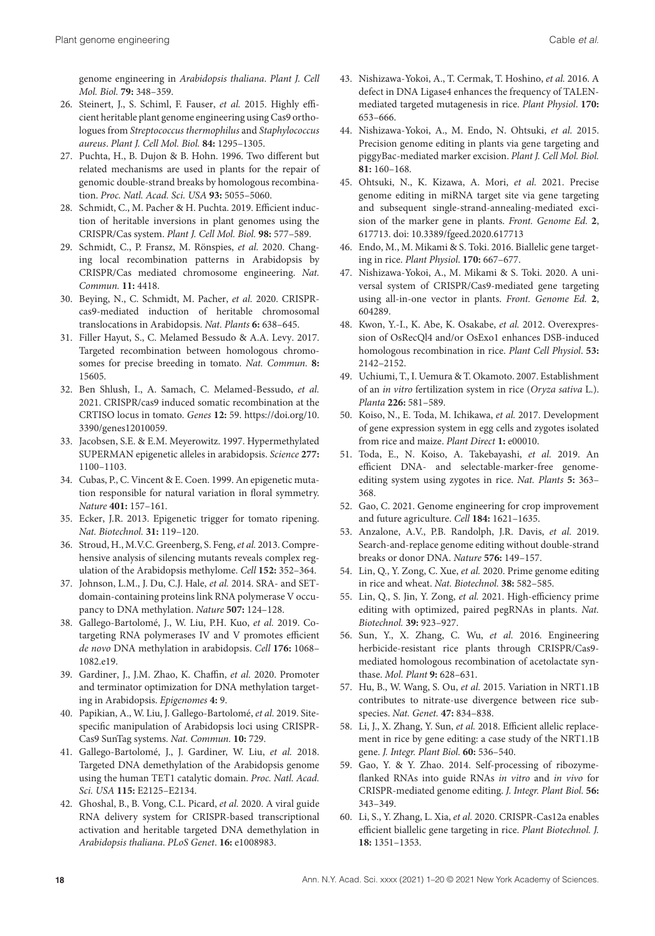genome engineering in *Arabidopsis thaliana*. *Plant J. Cell Mol. Biol.* **79:** 348–359.

- 26. Steinert, J., S. Schiml, F. Fauser, *et al.* 2015. Highly efficient heritable plant genome engineering using Cas9 orthologues from *Streptococcus thermophilus* and *Staphylococcus aureus*. *Plant J. Cell Mol. Biol.* **84:** 1295–1305.
- 27. Puchta, H., B. Dujon & B. Hohn. 1996. Two different but related mechanisms are used in plants for the repair of genomic double-strand breaks by homologous recombination. *Proc. Natl. Acad. Sci. USA* **93:** 5055–5060.
- 28. Schmidt, C., M. Pacher & H. Puchta. 2019. Efficient induction of heritable inversions in plant genomes using the CRISPR/Cas system. *Plant J. Cell Mol. Biol.* **98:** 577–589.
- 29. Schmidt, C., P. Fransz, M. Rönspies, *et al.* 2020. Changing local recombination patterns in Arabidopsis by CRISPR/Cas mediated chromosome engineering. *Nat. Commun.* **11:** 4418.
- 30. Beying, N., C. Schmidt, M. Pacher, *et al.* 2020. CRISPRcas9-mediated induction of heritable chromosomal translocations in Arabidopsis. *Nat. Plants* **6:** 638–645.
- 31. Filler Hayut, S., C. Melamed Bessudo & A.A. Levy. 2017. Targeted recombination between homologous chromosomes for precise breeding in tomato. *Nat. Commun.* **8:** 15605.
- 32. Ben Shlush, I., A. Samach, C. Melamed-Bessudo, *et al.* 2021. CRISPR/cas9 induced somatic recombination at the CRTISO locus in tomato. *Genes* **12:** 59. [https://doi.org/10.](https://doi.org/10.3390/genes12010059) [3390/genes12010059.](https://doi.org/10.3390/genes12010059)
- 33. Jacobsen, S.E. & E.M. Meyerowitz. 1997. Hypermethylated SUPERMAN epigenetic alleles in arabidopsis. *Science* **277:** 1100–1103.
- 34. Cubas, P., C. Vincent & E. Coen. 1999. An epigenetic mutation responsible for natural variation in floral symmetry. *Nature* **401:** 157–161.
- 35. Ecker, J.R. 2013. Epigenetic trigger for tomato ripening. *Nat. Biotechnol.* **31:** 119–120.
- 36. Stroud, H., M.V.C. Greenberg, S. Feng, *et al.* 2013. Comprehensive analysis of silencing mutants reveals complex regulation of the Arabidopsis methylome. *Cell* **152:** 352–364.
- 37. Johnson, L.M., J. Du, C.J. Hale, *et al.* 2014. SRA- and SETdomain-containing proteins link RNA polymerase V occupancy to DNA methylation. *Nature* **507:** 124–128.
- 38. Gallego-Bartolomé, J., W. Liu, P.H. Kuo, *et al.* 2019. Cotargeting RNA polymerases IV and V promotes efficient *de novo* DNA methylation in arabidopsis. *Cell* **176:** 1068– 1082.e19.
- 39. Gardiner, J., J.M. Zhao, K. Chaffin, *et al.* 2020. Promoter and terminator optimization for DNA methylation targeting in Arabidopsis. *Epigenomes* **4:** 9.
- 40. Papikian, A., W. Liu, J. Gallego-Bartolomé, *et al.* 2019. Sitespecific manipulation of Arabidopsis loci using CRISPR-Cas9 SunTag systems. *Nat. Commun.* **10:** 729.
- 41. Gallego-Bartolomé, J., J. Gardiner, W. Liu, *et al.* 2018. Targeted DNA demethylation of the Arabidopsis genome using the human TET1 catalytic domain. *Proc. Natl. Acad. Sci. USA* **115:** E2125–E2134.
- 42. Ghoshal, B., B. Vong, C.L. Picard, *et al.* 2020. A viral guide RNA delivery system for CRISPR-based transcriptional activation and heritable targeted DNA demethylation in *Arabidopsis thaliana*. *PLoS Genet*. **16:** e1008983.
- 43. Nishizawa-Yokoi, A., T. Cermak, T. Hoshino, *et al.* 2016. A defect in DNA Ligase4 enhances the frequency of TALENmediated targeted mutagenesis in rice. *Plant Physiol*. **170:** 653–666.
- 44. Nishizawa-Yokoi, A., M. Endo, N. Ohtsuki, *et al.* 2015. Precision genome editing in plants via gene targeting and piggyBac-mediated marker excision. *Plant J. Cell Mol. Biol.* **81:** 160–168.
- 45. Ohtsuki, N., K. Kizawa, A. Mori, *et al.* 2021. Precise genome editing in miRNA target site via gene targeting and subsequent single-strand-annealing-mediated excision of the marker gene in plants. *Front. Genome Ed.* **2**, 617713. doi: [10.3389/fgeed.2020.617713](https://10.3389/fgeed.2020.617713)
- 46. Endo, M., M. Mikami & S. Toki. 2016. Biallelic gene targeting in rice. *Plant Physiol*. **170:** 667–677.
- 47. Nishizawa-Yokoi, A., M. Mikami & S. Toki. 2020. A universal system of CRISPR/Cas9-mediated gene targeting using all-in-one vector in plants. *Front. Genome Ed.* **2**, 604289.
- 48. Kwon, Y.-I., K. Abe, K. Osakabe, *et al.* 2012. Overexpression of OsRecQl4 and/or OsExo1 enhances DSB-induced homologous recombination in rice. *Plant Cell Physiol*. **53:** 2142–2152.
- 49. Uchiumi, T., I. Uemura & T. Okamoto. 2007. Establishment of an *in vitro* fertilization system in rice (*Oryza sativa* L.). *Planta* **226:** 581–589.
- 50. Koiso, N., E. Toda, M. Ichikawa, *et al.* 2017. Development of gene expression system in egg cells and zygotes isolated from rice and maize. *Plant Direct* **1:** e00010.
- 51. Toda, E., N. Koiso, A. Takebayashi, *et al.* 2019. An efficient DNA- and selectable-marker-free genomeediting system using zygotes in rice. *Nat. Plants* **5:** 363– 368.
- 52. Gao, C. 2021. Genome engineering for crop improvement and future agriculture. *Cell* **184:** 1621–1635.
- 53. Anzalone, A.V., P.B. Randolph, J.R. Davis, *et al.* 2019. Search-and-replace genome editing without double-strand breaks or donor DNA. *Nature* **576:** 149–157.
- 54. Lin, Q., Y. Zong, C. Xue, *et al.* 2020. Prime genome editing in rice and wheat. *Nat. Biotechnol.* **38:** 582–585.
- 55. Lin, Q., S. Jin, Y. Zong, *et al.* 2021. High-efficiency prime editing with optimized, paired pegRNAs in plants. *Nat. Biotechnol.* **39:** 923–927.
- 56. Sun, Y., X. Zhang, C. Wu, *et al.* 2016. Engineering herbicide-resistant rice plants through CRISPR/Cas9 mediated homologous recombination of acetolactate synthase. *Mol. Plant* **9:** 628–631.
- 57. Hu, B., W. Wang, S. Ou, *et al.* 2015. Variation in NRT1.1B contributes to nitrate-use divergence between rice subspecies. *Nat. Genet.* **47:** 834–838.
- 58. Li, J., X. Zhang, Y. Sun, *et al.* 2018. Efficient allelic replacement in rice by gene editing: a case study of the NRT1.1B gene. *J. Integr. Plant Biol.* **60:** 536–540.
- 59. Gao, Y. & Y. Zhao. 2014. Self-processing of ribozymeflanked RNAs into guide RNAs *in vitro* and *in vivo* for CRISPR-mediated genome editing. *J. Integr. Plant Biol.* **56:** 343–349.
- 60. Li, S., Y. Zhang, L. Xia, *et al.* 2020. CRISPR-Cas12a enables efficient biallelic gene targeting in rice. *Plant Biotechnol. J.* **18:** 1351–1353.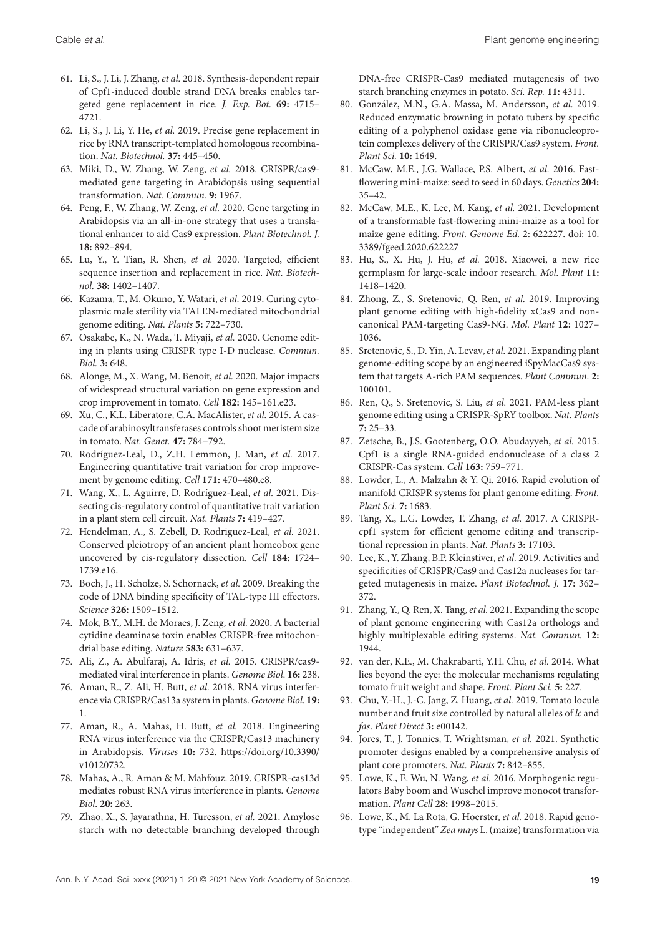- 61. Li, S., J. Li, J. Zhang, *et al.* 2018. Synthesis-dependent repair of Cpf1-induced double strand DNA breaks enables targeted gene replacement in rice. *J. Exp. Bot.* **69:** 4715– 4721.
- 62. Li, S., J. Li, Y. He, *et al.* 2019. Precise gene replacement in rice by RNA transcript-templated homologous recombination. *Nat. Biotechnol.* **37:** 445–450.
- 63. Miki, D., W. Zhang, W. Zeng, *et al.* 2018. CRISPR/cas9 mediated gene targeting in Arabidopsis using sequential transformation. *Nat. Commun.* **9:** 1967.
- 64. Peng, F., W. Zhang, W. Zeng, *et al.* 2020. Gene targeting in Arabidopsis via an all-in-one strategy that uses a translational enhancer to aid Cas9 expression. *Plant Biotechnol. J.* **18:** 892–894.
- 65. Lu, Y., Y. Tian, R. Shen, *et al.* 2020. Targeted, efficient sequence insertion and replacement in rice. *Nat. Biotechnol.* **38:** 1402–1407.
- 66. Kazama, T., M. Okuno, Y. Watari, *et al.* 2019. Curing cytoplasmic male sterility via TALEN-mediated mitochondrial genome editing. *Nat. Plants* **5:** 722–730.
- 67. Osakabe, K., N. Wada, T. Miyaji, *et al.* 2020. Genome editing in plants using CRISPR type I-D nuclease. *Commun. Biol.* **3:** 648.
- 68. Alonge, M., X. Wang, M. Benoit, *et al.* 2020. Major impacts of widespread structural variation on gene expression and crop improvement in tomato. *Cell* **182:** 145–161.e23.
- 69. Xu, C., K.L. Liberatore, C.A. MacAlister, *et al.* 2015. A cascade of arabinosyltransferases controls shoot meristem size in tomato. *Nat. Genet.* **47:** 784–792.
- 70. Rodríguez-Leal, D., Z.H. Lemmon, J. Man, *et al.* 2017. Engineering quantitative trait variation for crop improvement by genome editing. *Cell* **171:** 470–480.e8.
- 71. Wang, X., L. Aguirre, D. Rodríguez-Leal, *et al.* 2021. Dissecting cis-regulatory control of quantitative trait variation in a plant stem cell circuit. *Nat. Plants* **7:** 419–427.
- 72. Hendelman, A., S. Zebell, D. Rodriguez-Leal, *et al.* 2021. Conserved pleiotropy of an ancient plant homeobox gene uncovered by cis-regulatory dissection. *Cell* **184:** 1724– 1739.e16.
- 73. Boch, J., H. Scholze, S. Schornack, *et al.* 2009. Breaking the code of DNA binding specificity of TAL-type III effectors. *Science* **326:** 1509–1512.
- 74. Mok, B.Y., M.H. de Moraes, J. Zeng, *et al.* 2020. A bacterial cytidine deaminase toxin enables CRISPR-free mitochondrial base editing. *Nature* **583:** 631–637.
- 75. Ali, Z., A. Abulfaraj, A. Idris, *et al.* 2015. CRISPR/cas9 mediated viral interference in plants. *Genome Biol*. **16:** 238.
- 76. Aman, R., Z. Ali, H. Butt, *et al.* 2018. RNA virus interference via CRISPR/Cas13a system in plants.*Genome Biol*. **19:** 1.
- 77. Aman, R., A. Mahas, H. Butt, *et al.* 2018. Engineering RNA virus interference via the CRISPR/Cas13 machinery in Arabidopsis. *Viruses* **10:** 732. [https://doi.org/10.3390/](https://doi.org/10.3390/v10120732) [v10120732.](https://doi.org/10.3390/v10120732)
- 78. Mahas, A., R. Aman & M. Mahfouz. 2019. CRISPR-cas13d mediates robust RNA virus interference in plants. *Genome Biol*. **20:** 263.
- 79. Zhao, X., S. Jayarathna, H. Turesson, *et al.* 2021. Amylose starch with no detectable branching developed through

DNA-free CRISPR-Cas9 mediated mutagenesis of two starch branching enzymes in potato. *Sci. Rep.* **11:** 4311.

- 80. González, M.N., G.A. Massa, M. Andersson, *et al.* 2019. Reduced enzymatic browning in potato tubers by specific editing of a polyphenol oxidase gene via ribonucleoprotein complexes delivery of the CRISPR/Cas9 system. *Front. Plant Sci.* **10:** 1649.
- 81. McCaw, M.E., J.G. Wallace, P.S. Albert, *et al.* 2016. Fastflowering mini-maize: seed to seed in 60 days.*Genetics* **204:** 35–42.
- 82. McCaw, M.E., K. Lee, M. Kang, *et al.* 2021. Development of a transformable fast-flowering mini-maize as a tool for maize gene editing. *Front. Genome Ed.* 2: 622227. doi: [10.](https://10.3389/fgeed.2020.622227) [3389/fgeed.2020.622227](https://10.3389/fgeed.2020.622227)
- 83. Hu, S., X. Hu, J. Hu, *et al.* 2018. Xiaowei, a new rice germplasm for large-scale indoor research. *Mol. Plant* **11:** 1418–1420.
- 84. Zhong, Z., S. Sretenovic, Q. Ren, *et al.* 2019. Improving plant genome editing with high-fidelity xCas9 and noncanonical PAM-targeting Cas9-NG. *Mol. Plant* **12:** 1027– 1036.
- 85. Sretenovic, S., D. Yin, A. Levav, *et al.* 2021. Expanding plant genome-editing scope by an engineered iSpyMacCas9 system that targets A-rich PAM sequences. *Plant Commun*. **2:** 100101.
- 86. Ren, Q., S. Sretenovic, S. Liu, *et al.* 2021. PAM-less plant genome editing using a CRISPR-SpRY toolbox. *Nat. Plants* **7:** 25–33.
- 87. Zetsche, B., J.S. Gootenberg, O.O. Abudayyeh, *et al.* 2015. Cpf1 is a single RNA-guided endonuclease of a class 2 CRISPR-Cas system. *Cell* **163:** 759–771.
- 88. Lowder, L., A. Malzahn & Y. Qi. 2016. Rapid evolution of manifold CRISPR systems for plant genome editing. *Front. Plant Sci.* **7:** 1683.
- 89. Tang, X., L.G. Lowder, T. Zhang, *et al.* 2017. A CRISPRcpf1 system for efficient genome editing and transcriptional repression in plants. *Nat. Plants* **3:** 17103.
- 90. Lee, K., Y. Zhang, B.P. Kleinstiver, *et al.* 2019. Activities and specificities of CRISPR/Cas9 and Cas12a nucleases for targeted mutagenesis in maize. *Plant Biotechnol. J.* **17:** 362– 372.
- 91. Zhang, Y., Q. Ren, X. Tang, *et al.* 2021. Expanding the scope of plant genome engineering with Cas12a orthologs and highly multiplexable editing systems. *Nat. Commun.* **12:** 1944.
- 92. van der, K.E., M. Chakrabarti, Y.H. Chu, *et al.* 2014. What lies beyond the eye: the molecular mechanisms regulating tomato fruit weight and shape. *Front. Plant Sci.* **5:** 227.
- 93. Chu, Y.-H., J.-C. Jang, Z. Huang, *et al.* 2019. Tomato locule number and fruit size controlled by natural alleles of *lc* and *fas*. *Plant Direct* **3:** e00142.
- 94. Jores, T., J. Tonnies, T. Wrightsman, *et al.* 2021. Synthetic promoter designs enabled by a comprehensive analysis of plant core promoters. *Nat. Plants* **7:** 842–855.
- 95. Lowe, K., E. Wu, N. Wang, *et al.* 2016. Morphogenic regulators Baby boom and Wuschel improve monocot transformation. *Plant Cell* **28:** 1998–2015.
- 96. Lowe, K., M. La Rota, G. Hoerster, *et al.* 2018. Rapid genotype "independent" *Zea mays* L. (maize) transformation via